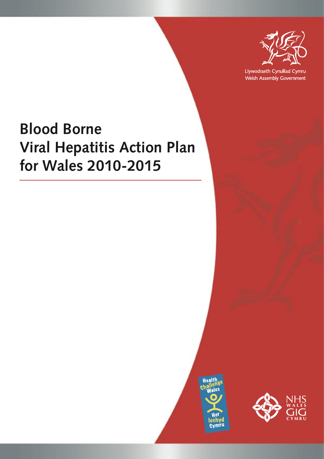

Llywodraeth Cynulliad Cymru Welsh Assembly Government

# **Blood Borne Viral Hepatitis Action Plan for Wales 2010-2015**



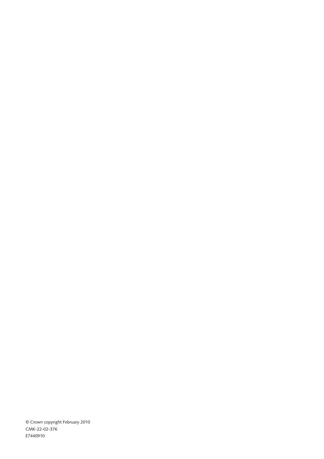© Crown copyright February 2010 CMK-22-02-376 E7440910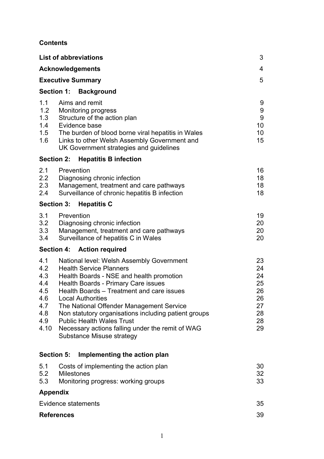### **Contents**

|                                                                     | <b>List of abbreviations</b>                                                                                                                                                                                                                                                                                                                                                                                                                              | 3                                                         |
|---------------------------------------------------------------------|-----------------------------------------------------------------------------------------------------------------------------------------------------------------------------------------------------------------------------------------------------------------------------------------------------------------------------------------------------------------------------------------------------------------------------------------------------------|-----------------------------------------------------------|
|                                                                     | <b>Acknowledgements</b>                                                                                                                                                                                                                                                                                                                                                                                                                                   | 4                                                         |
|                                                                     | <b>Executive Summary</b>                                                                                                                                                                                                                                                                                                                                                                                                                                  | 5                                                         |
| <b>Section 1:</b>                                                   | Background                                                                                                                                                                                                                                                                                                                                                                                                                                                |                                                           |
| 1.1<br>1.2<br>1.3<br>1.4<br>1.5<br>1.6                              | Aims and remit<br><b>Monitoring progress</b><br>Structure of the action plan<br>Evidence base<br>The burden of blood borne viral hepatitis in Wales<br>Links to other Welsh Assembly Government and<br>UK Government strategies and guidelines                                                                                                                                                                                                            | 9<br>9<br>$\boldsymbol{9}$<br>10 <sup>°</sup><br>10<br>15 |
| <b>Section 2:</b>                                                   | <b>Hepatitis B infection</b>                                                                                                                                                                                                                                                                                                                                                                                                                              |                                                           |
| 2.1<br>2.2<br>2.3<br>2.4                                            | Prevention<br>Diagnosing chronic infection<br>Management, treatment and care pathways<br>Surveillance of chronic hepatitis B infection                                                                                                                                                                                                                                                                                                                    | 16<br>18<br>18<br>18                                      |
| <b>Section 3:</b>                                                   | <b>Hepatitis C</b>                                                                                                                                                                                                                                                                                                                                                                                                                                        |                                                           |
| 3.1<br>3.2<br>3.3<br>3.4                                            | Prevention<br>Diagnosing chronic infection<br>Management, treatment and care pathways<br>Surveillance of hepatitis C in Wales                                                                                                                                                                                                                                                                                                                             | 19<br>20<br>20<br>20                                      |
|                                                                     | Section 4: Action required                                                                                                                                                                                                                                                                                                                                                                                                                                |                                                           |
| 4.1<br>4.2<br>4.3<br>4.4<br>4.5<br>4.6<br>4.7<br>4.8<br>4.9<br>4.10 | National level: Welsh Assembly Government<br><b>Health Service Planners</b><br>Health Boards - NSE and health promotion<br>Health Boards - Primary Care issues<br>Health Boards – Treatment and care issues<br>Local Authorities<br>The National Offender Management Service<br>Non statutory organisations including patient groups<br><b>Public Health Wales Trust</b><br>Necessary actions falling under the remit of WAG<br>Substance Misuse strategy | 23<br>24<br>24<br>25<br>26<br>26<br>27<br>28<br>28<br>29  |
| <b>Section 5:</b>                                                   | Implementing the action plan                                                                                                                                                                                                                                                                                                                                                                                                                              |                                                           |
| 5.1<br>5.2<br>5.3                                                   | Costs of implementing the action plan<br><b>Milestones</b><br>Monitoring progress: working groups                                                                                                                                                                                                                                                                                                                                                         | 30<br>32<br>33                                            |
| <b>Appendix</b>                                                     |                                                                                                                                                                                                                                                                                                                                                                                                                                                           |                                                           |
| Evidence statements                                                 |                                                                                                                                                                                                                                                                                                                                                                                                                                                           | 35                                                        |
| <b>References</b>                                                   |                                                                                                                                                                                                                                                                                                                                                                                                                                                           | 39                                                        |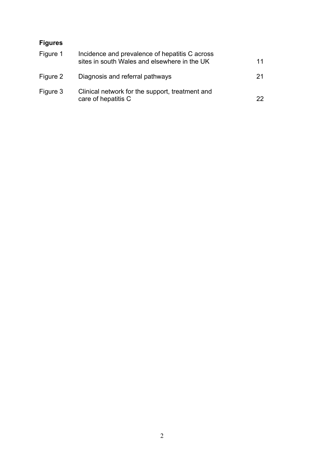# **Figures**

| Figure 1 | Incidence and prevalence of hepatitis C across<br>sites in south Wales and elsewhere in the UK | 11 |
|----------|------------------------------------------------------------------------------------------------|----|
| Figure 2 | Diagnosis and referral pathways                                                                | 21 |
| Figure 3 | Clinical network for the support, treatment and<br>care of hepatitis C                         | 22 |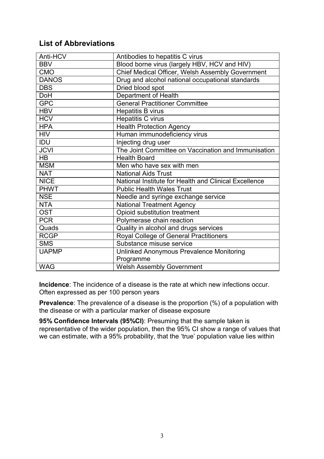# **List of Abbreviations**

| Anti-HCV     | Antibodies to hepatitis C virus                       |
|--------------|-------------------------------------------------------|
| <b>BBV</b>   | Blood borne virus (largely HBV, HCV and HIV)          |
| <b>CMO</b>   | Chief Medical Officer, Welsh Assembly Government      |
| <b>DANOS</b> | Drug and alcohol national occupational standards      |
| <b>DBS</b>   | Dried blood spot                                      |
| <b>DoH</b>   | Department of Health                                  |
| <b>GPC</b>   | <b>General Practitioner Committee</b>                 |
| <b>HBV</b>   | <b>Hepatitis B virus</b>                              |
| <b>HCV</b>   | <b>Hepatitis C virus</b>                              |
| <b>HPA</b>   | <b>Health Protection Agency</b>                       |
| <b>HIV</b>   | Human immunodeficiency virus                          |
| <b>IDU</b>   | Injecting drug user                                   |
| <b>JCVI</b>  | The Joint Committee on Vaccination and Immunisation   |
| <b>HB</b>    | <b>Health Board</b>                                   |
| <b>MSM</b>   | Men who have sex with men                             |
| <b>NAT</b>   | <b>National Aids Trust</b>                            |
| <b>NICE</b>  | National Institute for Health and Clinical Excellence |
| <b>PHWT</b>  | <b>Public Health Wales Trust</b>                      |
| <b>NSE</b>   | Needle and syringe exchange service                   |
| <b>NTA</b>   | <b>National Treatment Agency</b>                      |
| <b>OST</b>   | Opioid substitution treatment                         |
| <b>PCR</b>   | Polymerase chain reaction                             |
| Quads        | Quality in alcohol and drugs services                 |
| <b>RCGP</b>  | Royal College of General Practitioners                |
| <b>SMS</b>   | Substance misuse service                              |
| <b>UAPMP</b> | Unlinked Anonymous Prevalence Monitoring              |
|              | Programme                                             |
| <b>WAG</b>   | <b>Welsh Assembly Government</b>                      |

**Incidence**: The incidence of a disease is the rate at which new infections occur. Often expressed as per 100 person years

**Prevalence**: The prevalence of a disease is the proportion (%) of a population with the disease or with a particular marker of disease exposure

**95% Confidence Intervals (95%CI)**: Presuming that the sample taken is representative of the wider population, then the 95% CI show a range of values that we can estimate, with a 95% probability, that the 'true' population value lies within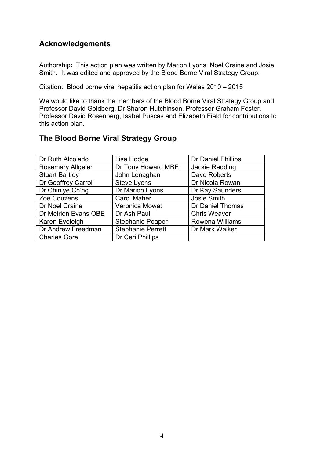# **Acknowledgements**

Authorship**:** This action plan was written by Marion Lyons, Noel Craine and Josie Smith. It was edited and approved by the Blood Borne Viral Strategy Group.

Citation: Blood borne viral hepatitis action plan for Wales 2010 – 2015

We would like to thank the members of the Blood Borne Viral Strategy Group and Professor David Goldberg, Dr Sharon Hutchinson, Professor Graham Foster, Professor David Rosenberg, Isabel Puscas and Elizabeth Field for contributions to this action plan.

## **The Blood Borne Viral Strategy Group**

| Dr Ruth Alcolado         | Lisa Hodge               | Dr Daniel Phillips      |
|--------------------------|--------------------------|-------------------------|
| <b>Rosemary Allgeier</b> | Dr Tony Howard MBE       | Jackie Redding          |
| <b>Stuart Bartley</b>    | John Lenaghan            | Dave Roberts            |
| Dr Geoffrey Carroll      | <b>Steve Lyons</b>       | Dr Nicola Rowan         |
| Dr Chinlye Ch'ng         | Dr Marion Lyons          | Dr Kay Saunders         |
| Zoe Couzens              | <b>Carol Maher</b>       | Josie Smith             |
| Dr Noel Craine           | Veronica Mowat           | <b>Dr Daniel Thomas</b> |
| Dr Meirion Evans OBE     | Dr Ash Paul              | <b>Chris Weaver</b>     |
| Karen Eveleigh           | <b>Stephanie Peaper</b>  | Rowena Williams         |
| Dr Andrew Freedman       | <b>Stephanie Perrett</b> | Dr Mark Walker          |
| <b>Charles Gore</b>      | Dr Ceri Phillips         |                         |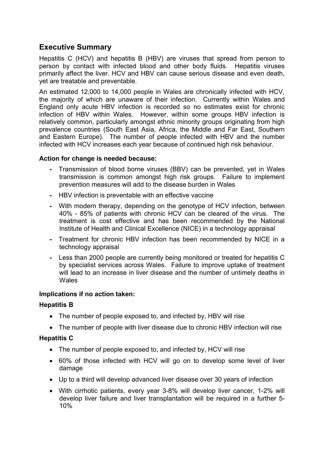# **Executive Summary**

Hepatitis C (HCV) and hepatitis B (HBV) are viruses that spread from person to person by contact with infected blood and other body fluids. Hepatitis viruses primarily affect the liver. HCV and HBV can cause serious disease and even death, yet are treatable and preventable.

An estimated 12,000 to 14,000 people in Wales are chronically infected with HCV, the majority of which are unaware of their infection. Currently within Wales and England only acute HBV infection is recorded so no estimates exist for chronic infection of HBV within Wales. However, within some groups HBV infection is relatively common, particularly amongst ethnic minority groups originating from high prevalence countries (South East Asia, Africa, the Middle and Far East, Southern and Eastern Europe). The number of people infected with HBV and the number infected with HCV increases each year because of continued high risk behaviour.

#### **Action for change is needed because:**

- **-** Transmission of blood borne viruses (BBV) can be prevented, yet in Wales transmission is common amongst high risk groups. Failure to implement prevention measures will add to the disease burden in Wales
- **-** HBV infection is preventable with an effective vaccine
- **-** With modern therapy, depending on the genotype of HCV infection, between 40% - 85% of patients with chronic HCV can be cleared of the virus. The treatment is cost effective and has been recommended by the National Institute of Health and Clinical Excellence (NICE) in a technology appraisal
- **-** Treatment for chronic HBV infection has been recommended by NICE in a technology appraisal
- **-** Less than 2000 people are currently being monitored or treated for hepatitis C by specialist services across Wales. Failure to improve uptake of treatment will lead to an increase in liver disease and the number of untimely deaths in Wales

#### **Implications if no action taken:**

#### **Hepatitis B**

- The number of people exposed to, and infected by, HBV will rise
- The number of people with liver disease due to chronic HBV infection will rise

#### **Hepatitis C**

- The number of people exposed to, and infected by, HCV will rise
- · 60% of those infected with HCV will go on to develop some level of liver damage
- · Up to a third will develop advanced liver disease over 30 years of infection
- · With cirrhotic patients, every year 3-8% will develop liver cancer, 1-2% will develop liver failure and liver transplantation will be required in a further 5- 10%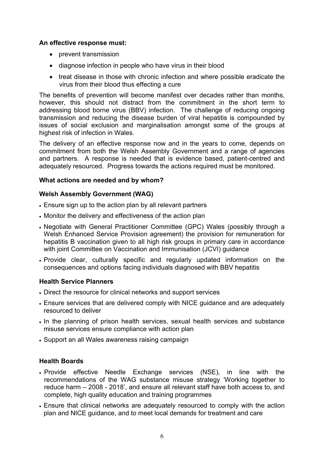#### **An effective response must:**

- · prevent transmission
- diagnose infection in people who have virus in their blood
- · treat disease in those with chronic infection and where possible eradicate the virus from their blood thus effecting a cure

The benefits of prevention will become manifest over decades rather than months, however, this should not distract from the commitment in the short term to addressing blood borne virus (BBV) infection. The challenge of reducing ongoing transmission and reducing the disease burden of viral hepatitis is compounded by issues of social exclusion and marginalisation amongst some of the groups at highest risk of infection in Wales.

The delivery of an effective response now and in the years to come, depends on commitment from both the Welsh Assembly Government and a range of agencies and partners. A response is needed that is evidence based, patient-centred and adequately resourced. Progress towards the actions required must be monitored.

#### **What actions are needed and by whom?**

#### **Welsh Assembly Government (WAG)**

- · Ensure sign up to the action plan by all relevant partners
- · Monitor the delivery and effectiveness of the action plan
- · Negotiate with General Practitioner Committee (GPC) Wales (possibly through a Welsh Enhanced Service Provision agreement) the provision for remuneration for hepatitis B vaccination given to all high risk groups in primary care in accordance with joint Committee on Vaccination and Immunisation (JCVI) quidance
- · Provide clear, culturally specific and regularly updated information on the consequences and options facing individuals diagnosed with BBV hepatitis

#### **Health Service Planners**

- · Direct the resource for clinical networks and support services
- · Ensure services that are delivered comply with NICE guidance and are adequately resourced to deliver
- · In the planning of prison health services, sexual health services and substance misuse services ensure compliance with action plan
- · Support an all Wales awareness raising campaign

#### **Health Boards**

- · Provide effective Needle Exchange services (NSE), in line with the recommendations of the WAG substance misuse strategy 'Working together to reduce harm – 2008 - 2018', and ensure all relevant staff have both access to, and complete, high quality education and training programmes
- · Ensure that clinical networks are adequately resourced to comply with the action plan and NICE guidance, and to meet local demands for treatment and care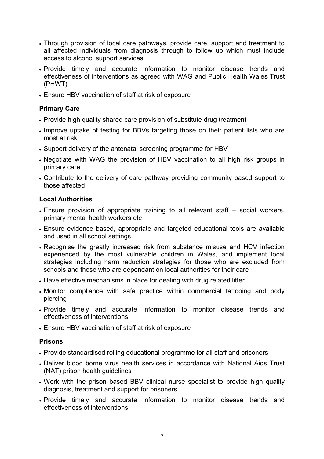- · Through provision of local care pathways, provide care, support and treatment to all affected individuals from diagnosis through to follow up which must include access to alcohol support services
- · Provide timely and accurate information to monitor disease trends and effectiveness of interventions as agreed with WAG and Public Health Wales Trust (PHWT)
- · Ensure HBV vaccination of staff at risk of exposure

#### **Primary Care**

- · Provide high quality shared care provision of substitute drug treatment
- · Improve uptake of testing for BBVs targeting those on their patient lists who are most at risk
- · Support delivery of the antenatal screening programme for HBV
- · Negotiate with WAG the provision of HBV vaccination to all high risk groups in primary care
- · Contribute to the delivery of care pathway providing community based support to those affected

#### **Local Authorities**

- · Ensure provision of appropriate training to all relevant staff social workers, primary mental health workers etc
- · Ensure evidence based, appropriate and targeted educational tools are available and used in all school settings
- · Recognise the greatly increased risk from substance misuse and HCV infection experienced by the most vulnerable children in Wales, and implement local strategies including harm reduction strategies for those who are excluded from schools and those who are dependant on local authorities for their care
- · Have effective mechanisms in place for dealing with drug related litter
- · Monitor compliance with safe practice within commercial tattooing and body piercing
- · Provide timely and accurate information to monitor disease trends and effectiveness of interventions
- · Ensure HBV vaccination of staff at risk of exposure

#### **Prisons**

- · Provide standardised rolling educational programme for all staff and prisoners
- · Deliver blood borne virus health services in accordance with National Aids Trust (NAT) prison health guidelines
- · Work with the prison based BBV clinical nurse specialist to provide high quality diagnosis, treatment and support for prisoners
- · Provide timely and accurate information to monitor disease trends and effectiveness of interventions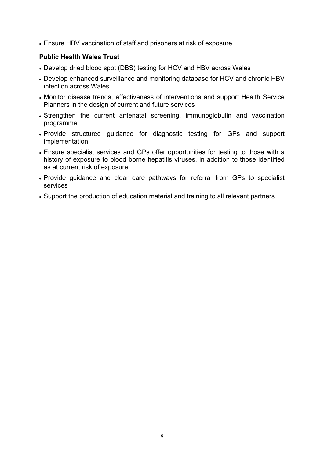· Ensure HBV vaccination of staff and prisoners at risk of exposure

#### **Public Health Wales Trust**

- · Develop dried blood spot (DBS) testing for HCV and HBV across Wales
- · Develop enhanced surveillance and monitoring database for HCV and chronic HBV infection across Wales
- · Monitor disease trends, effectiveness of interventions and support Health Service Planners in the design of current and future services
- · Strengthen the current antenatal screening, immunoglobulin and vaccination programme
- · Provide structured guidance for diagnostic testing for GPs and support implementation
- · Ensure specialist services and GPs offer opportunities for testing to those with a history of exposure to blood borne hepatitis viruses, in addition to those identified as at current risk of exposure
- · Provide guidance and clear care pathways for referral from GPs to specialist services
- · Support the production of education material and training to all relevant partners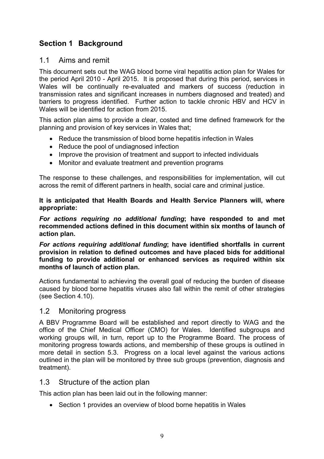# **Section 1 Background**

### 1.1 Aims and remit

This document sets out the WAG blood borne viral hepatitis action plan for Wales for the period April 2010 - April 2015. It is proposed that during this period, services in Wales will be continually re-evaluated and markers of success (reduction in transmission rates and significant increases in numbers diagnosed and treated) and barriers to progress identified. Further action to tackle chronic HBV and HCV in Wales will be identified for action from 2015.

This action plan aims to provide a clear, costed and time defined framework for the planning and provision of key services in Wales that;

- Reduce the transmission of blood borne hepatitis infection in Wales
- · Reduce the pool of undiagnosed infection
- · Improve the provision of treatment and support to infected individuals
- · Monitor and evaluate treatment and prevention programs

The response to these challenges, and responsibilities for implementation, will cut across the remit of different partners in health, social care and criminal justice.

**It is anticipated that Health Boards and Health Service Planners will, where appropriate:**

*For actions requiring no additional funding***; have responded to and met recommended actions defined in this document within six months of launch of action plan.**

*For actions requiring additional funding***; have identified shortfalls in current provision in relation to defined outcomes and have placed bids for additional funding to provide additional or enhanced services as required within six months of launch of action plan.**

Actions fundamental to achieving the overall goal of reducing the burden of disease caused by blood borne hepatitis viruses also fall within the remit of other strategies (see Section 4.10).

#### 1.2 Monitoring progress

A BBV Programme Board will be established and report directly to WAG and the office of the Chief Medical Officer (CMO) for Wales. Identified subgroups and working groups will, in turn, report up to the Programme Board. The process of monitoring progress towards actions, and membership of these groups is outlined in more detail in section 5.3. Progress on a local level against the various actions outlined in the plan will be monitored by three sub groups (prevention, diagnosis and treatment).

### 1.3 Structure of the action plan

This action plan has been laid out in the following manner:

· Section 1 provides an overview of blood borne hepatitis in Wales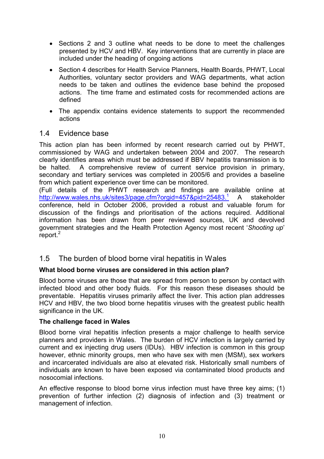- · Sections 2 and 3 outline what needs to be done to meet the challenges presented by HCV and HBV. Key interventions that are currently in place are included under the heading of ongoing actions
- · Section 4 describes for Health Service Planners, Health Boards, PHWT, Local Authorities, voluntary sector providers and WAG departments, what action needs to be taken and outlines the evidence base behind the proposed actions. The time frame and estimated costs for recommended actions are defined
- · The appendix contains evidence statements to support the recommended actions

### 1.4 Evidence base

This action plan has been informed by recent research carried out by PHWT, commissioned by WAG and undertaken between 2004 and 2007. The research clearly identifies areas which must be addressed if BBV hepatitis transmission is to be halted. A comprehensive review of current service provision in primary, secondary and tertiary services was completed in 2005/6 and provides a baseline from which patient experience over time can be monitored.

(Full details of the PHWT research and findings are available online at http://www.wales.nhs.uk/sites3/page.cfm?orgid=457&pid=25483.<sup>1</sup> A stakeholder conference, held in October 2006, provided a robust and valuable forum for discussion of the findings and prioritisation of the actions required. Additional information has been drawn from peer reviewed sources, UK and devolved government strategies and the Health Protection Agency most recent '*Shooting up*' report. $<sup>2</sup>$ </sup>

### 1.5 The burden of blood borne viral hepatitis in Wales

#### **What blood borne viruses are considered in this action plan?**

Blood borne viruses are those that are spread from person to person by contact with infected blood and other body fluids. For this reason these diseases should be preventable. Hepatitis viruses primarily affect the liver. This action plan addresses HCV and HBV, the two blood borne hepatitis viruses with the greatest public health significance in the UK.

#### **The challenge faced in Wales**

Blood borne viral hepatitis infection presents a major challenge to health service planners and providers in Wales. The burden of HCV infection is largely carried by current and ex injecting drug users (IDUs). HBV infection is common in this group however, ethnic minority groups, men who have sex with men (MSM), sex workers and incarcerated individuals are also at elevated risk. Historically small numbers of individuals are known to have been exposed via contaminated blood products and nosocomial infections.

An effective response to blood borne virus infection must have three key aims; (1) prevention of further infection (2) diagnosis of infection and (3) treatment or management of infection.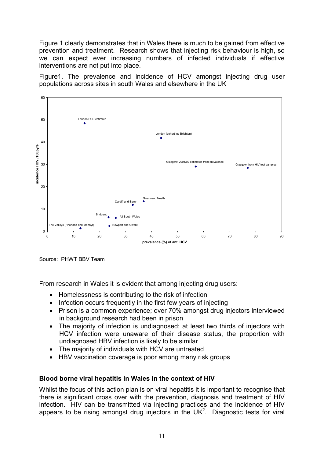Figure 1 clearly demonstrates that in Wales there is much to be gained from effective prevention and treatment. Research shows that injecting risk behaviour is high, so we can expect ever increasing numbers of infected individuals if effective interventions are not put into place.

Figure1. The prevalence and incidence of HCV amongst injecting drug user populations across sites in south Wales and elsewhere in the UK



Source: PHWT BBV Team

From research in Wales it is evident that among injecting drug users:

- · Homelessness is contributing to the risk of infection
- Infection occurs frequently in the first few years of injecting
- · Prison is a common experience; over 70% amongst drug injectors interviewed in background research had been in prison
- · The majority of infection is undiagnosed; at least two thirds of injectors with HCV infection were unaware of their disease status, the proportion with undiagnosed HBV infection is likely to be similar
- · The majority of individuals with HCV are untreated
- HBV vaccination coverage is poor among many risk groups

#### **Blood borne viral hepatitis in Wales in the context of HIV**

Whilst the focus of this action plan is on viral hepatitis it is important to recognise that there is significant cross over with the prevention, diagnosis and treatment of HIV infection. HIV can be transmitted via injecting practices and the incidence of HIV appears to be rising amongst drug injectors in the UK<sup>2</sup>. Diagnostic tests for viral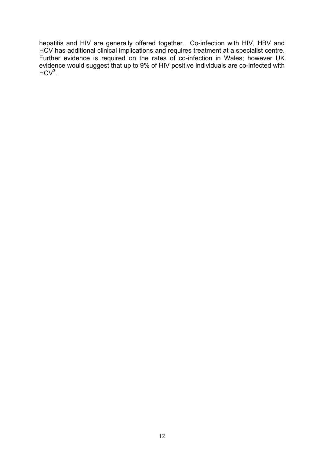hepatitis and HIV are generally offered together. Co-infection with HIV, HBV and HCV has additional clinical implications and requires treatment at a specialist centre. Further evidence is required on the rates of co-infection in Wales; however UK evidence would suggest that up to 9% of HIV positive individuals are co-infected with  $HCV<sup>3</sup>$ .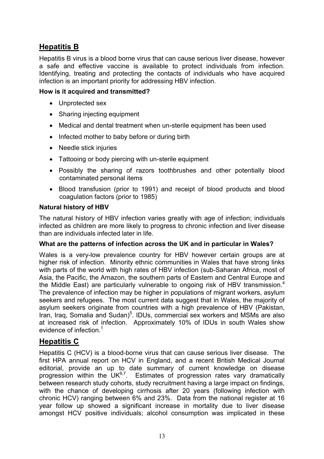# **Hepatitis B**

Hepatitis B virus is a blood borne virus that can cause serious liver disease, however a safe and effective vaccine is available to protect individuals from infection. Identifying, treating and protecting the contacts of individuals who have acquired infection is an important priority for addressing HBV infection.

#### **How is it acquired and transmitted?**

- · Unprotected sex
- · Sharing injecting equipment
- · Medical and dental treatment when un-sterile equipment has been used
- Infected mother to baby before or during birth
- Needle stick injuries
- · Tattooing or body piercing with un-sterile equipment
- · Possibly the sharing of razors toothbrushes and other potentially blood contaminated personal items
- · Blood transfusion (prior to 1991) and receipt of blood products and blood coagulation factors (prior to 1985)

#### **Natural history of HBV**

The natural history of HBV infection varies greatly with age of infection; individuals infected as children are more likely to progress to chronic infection and liver disease than are individuals infected later in life.

#### **What are the patterns of infection across the UK and in particular in Wales?**

Wales is a very-low prevalence country for HBV however certain groups are at higher risk of infection. Minority ethnic communities in Wales that have strong links with parts of the world with high rates of HBV infection (sub-Saharan Africa, most of Asia, the Pacific, the Amazon, the southern parts of Eastern and Central Europe and the Middle East) are particularly vulnerable to ongoing risk of HBV transmission.<sup>4</sup> The prevalence of infection may be higher in populations of migrant workers, asylum seekers and refugees. The most current data suggest that in Wales, the majority of asylum seekers originate from countries with a high prevalence of HBV (Pakistan, Iran, Iraq, Somalia and Sudan)<sup>5</sup>. IDUs, commercial sex workers and MSMs are also at increased risk of infection. Approximately 10% of IDUs in south Wales show evidence of infection.<sup>1</sup>

### **Hepatitis C**

Hepatitis C (HCV) is a blood-borne virus that can cause serious liver disease. The first HPA annual report on HCV in England, and a recent British Medical Journal editorial, provide an up to date summary of current knowledge on disease progression within the  $UK^{6,7}$ . Estimates of progression rates vary dramatically between research study cohorts, study recruitment having a large impact on findings, with the chance of developing cirrhosis after 20 years (following infection with chronic HCV) ranging between 6% and 23%. Data from the national register at 16 year follow up showed a significant increase in mortality due to liver disease amongst HCV positive individuals; alcohol consumption was implicated in these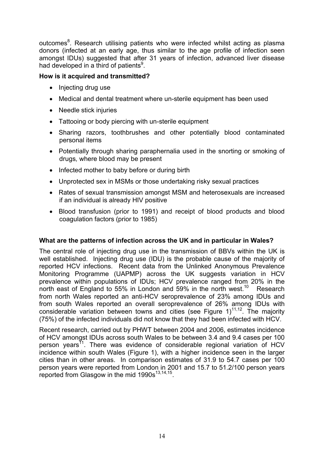outcomes<sup>8</sup>. Research utilising patients who were infected whilst acting as plasma donors (infected at an early age, thus similar to the age profile of infection seen amongst IDUs) suggested that after 31 years of infection, advanced liver disease had developed in a third of patients<sup>9</sup>.

#### **How is it acquired and transmitted?**

- Injecting drug use
- · Medical and dental treatment where un-sterile equipment has been used
- Needle stick injuries
- Tattooing or body piercing with un-sterile equipment
- · Sharing razors, toothbrushes and other potentially blood contaminated personal items
- · Potentially through sharing paraphernalia used in the snorting or smoking of drugs*,* where blood may be present
- Infected mother to baby before or during birth
- Unprotected sex in MSMs or those undertaking risky sexual practices
- · Rates of sexual transmission amongst MSM and heterosexuals are increased if an individual is already HIV positive
- · Blood transfusion (prior to 1991) and receipt of blood products and blood coagulation factors (prior to 1985)

#### **What are the patterns of infection across the UK and in particular in Wales?**

The central role of injecting drug use in the transmission of BBVs within the UK is well established. Injecting drug use (IDU) is the probable cause of the majority of reported HCV infections. Recent data from the Unlinked Anonymous Prevalence Monitoring Programme (UAPMP) across the UK suggests variation in HCV prevalence within populations of IDUs; HCV prevalence ranged from 20% in the north east of England to 55% in London and 59% in the north west.<sup>10</sup> Research from north Wales reported an anti-HCV seroprevalence of 23% among IDUs and from south Wales reported an overall seroprevalence of 26% among IDUs with considerable variation between towns and cities (see Figure  $1$ )<sup>11,12</sup>. The majority (75%) of the infected individuals did not know that they had been infected with HCV.

Recent research, carried out by PHWT between 2004 and 2006, estimates incidence of HCV amongst IDUs across south Wales to be between 3.4 and 9.4 cases per 100 person years<sup>11</sup>. There was evidence of considerable regional variation of HCV incidence within south Wales (Figure 1), with a higher incidence seen in the larger cities than in other areas. In comparison estimates of 31.9 to 54.7 cases per 100 person years were reported from London in 2001 and 15.7 to 51.2/100 person years reported from Glasgow in the mid  $1990s^{13,14,15}$ .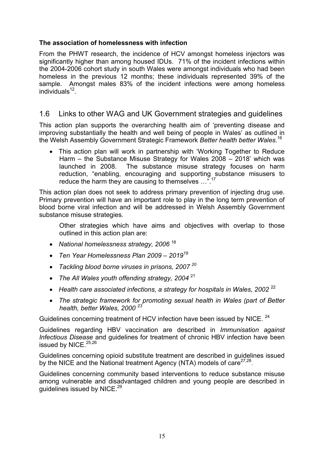#### **The association of homelessness with infection**

From the PHWT research, the incidence of HCV amongst homeless injectors was significantly higher than among housed IDUs. 71% of the incident infections within the 2004-2006 cohort study in south Wales were amongst individuals who had been homeless in the previous 12 months; these individuals represented 39% of the sample. Amongst males 83% of the incident infections were among homeless individuals<sup>12</sup>.

### 1.6 Links to other WAG and UK Government strategies and guidelines

This action plan supports the overarching health aim of 'preventing disease and improving substantially the health and well being of people in Wales' as outlined in the Welsh Assembly Government Strategic Framework *Better health better Wales.*<sup>16</sup>

· This action plan will work in partnership with 'Working Together to Reduce Harm – the Substance Misuse Strategy for Wales 2008 – 2018' which was launched in 2008. The substance misuse strategy focuses on harm reduction, "enabling, encouraging and supporting substance misusers to reduce the harm they are causing to themselves ...".<sup>1</sup>

This action plan does not seek to address primary prevention of injecting drug use. Primary prevention will have an important role to play in the long term prevention of blood borne viral infection and will be addressed in Welsh Assembly Government substance misuse strategies.

Other strategies which have aims and objectives with overlap to those outlined in this action plan are:

- · *National homelessness strategy, 2006* <sup>18</sup>
- · *Ten Year Homelessness Plan 2009 – 2019<sup>19</sup>*
- · *Tackling blood borne viruses in prisons, 2007 <sup>20</sup>*
- · *The All Wales youth offending strategy, 2004* <sup>21</sup>
- · *Health care associated infections, a strategy for hospitals in Wales, 2002* <sup>22</sup>
- · *The strategic framework for promoting sexual health in Wales (part of Better health, better Wales, 2000 <sup>23</sup>*

Guidelines concerning treatment of HCV infection have been issued by NICE. <sup>24</sup>

Guidelines regarding HBV vaccination are described in *Immunisation against Infectious Disease* and guidelines for treatment of chronic HBV infection have been issued by NICE.<sup>25,26</sup>

Guidelines concerning opioid substitute treatment are described in guidelines issued by the NICE and the National treatment Agency (NTA) models of care<sup>27,28</sup>.

Guidelines concerning community based interventions to reduce substance misuse among vulnerable and disadvantaged children and young people are described in guidelines issued by NICE.<sup>29</sup>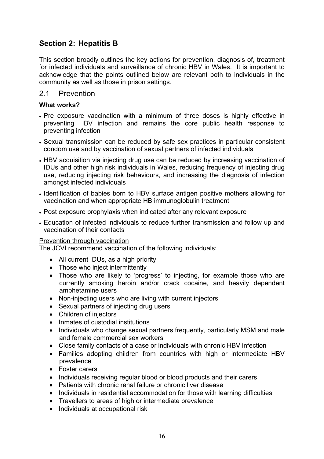# **Section 2: Hepatitis B**

This section broadly outlines the key actions for prevention, diagnosis of, treatment for infected individuals and surveillance of chronic HBV in Wales. It is important to acknowledge that the points outlined below are relevant both to individuals in the community as well as those in prison settings.

#### 2.1 Prevention

#### **What works?**

- · Pre exposure vaccination with a minimum of three doses is highly effective in preventing HBV infection and remains the core public health response to preventing infection
- · Sexual transmission can be reduced by safe sex practices in particular consistent condom use and by vaccination of sexual partners of infected individuals
- · HBV acquisition via injecting drug use can be reduced by increasing vaccination of IDUs and other high risk individuals in Wales, reducing frequency of injecting drug use, reducing injecting risk behaviours, and increasing the diagnosis of infection amongst infected individuals
- · Identification of babies born to HBV surface antigen positive mothers allowing for vaccination and when appropriate HB immunoglobulin treatment
- · Post exposure prophylaxis when indicated after any relevant exposure
- · Education of infected individuals to reduce further transmission and follow up and vaccination of their contacts

#### Prevention through vaccination

The JCVI recommend vaccination of the following individuals:

- All current IDUs, as a high priority
- Those who inject intermittently
- · Those who are likely to 'progress' to injecting, for example those who are currently smoking heroin and/or crack cocaine, and heavily dependent amphetamine users
- · Non-injecting users who are living with current injectors
- · Sexual partners of injecting drug users
- · Children of injectors
- · Inmates of custodial institutions
- · Individuals who change sexual partners frequently, particularly MSM and male and female commercial sex workers
- · Close family contacts of a case or individuals with chronic HBV infection
- · Families adopting children from countries with high or intermediate HBV prevalence
- · Foster carers
- Individuals receiving regular blood or blood products and their carers
- · Patients with chronic renal failure or chronic liver disease
- · Individuals in residential accommodation for those with learning difficulties
- · Travellers to areas of high or intermediate prevalence
- · Individuals at occupational risk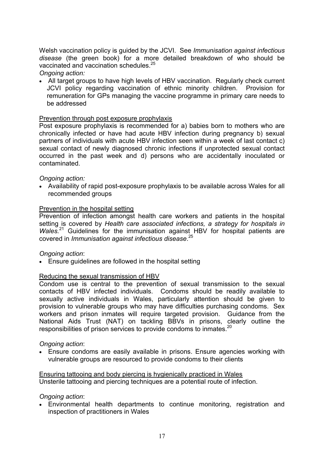Welsh vaccination policy is guided by the JCVI. See *Immunisation against infectious disease* (the green book) for a more detailed breakdown of who should be vaccinated and vaccination schedules.<sup>25</sup>

#### *Ongoing action:*

· All target groups to have high levels of HBV vaccination. Regularly check current JCVI policy regarding vaccination of ethnic minority children. Provision for remuneration for GPs managing the vaccine programme in primary care needs to be addressed

#### Prevention through post exposure prophylaxis

Post exposure prophylaxis is recommended for a) babies born to mothers who are chronically infected or have had acute HBV infection during pregnancy b) sexual partners of individuals with acute HBV infection seen within a week of last contact c) sexual contact of newly diagnosed chronic infections if unprotected sexual contact occurred in the past week and d) persons who are accidentally inoculated or contaminated.

#### *Ongoing action:*

· Availability of rapid post-exposure prophylaxis to be available across Wales for all recommended groups

#### Prevention in the hospital setting

Prevention of infection amongst health care workers and patients in the hospital setting is covered by *Health care associated infections, a strategy for hospitals in Wales.*<sup>21</sup> Guidelines for the immunisation against HBV for hospital patients are covered in *Immunisation against infectious disease*. 25

#### *Ongoing action*:

· Ensure guidelines are followed in the hospital setting

#### Reducing the sexual transmission of HBV

Condom use is central to the prevention of sexual transmission to the sexual contacts of HBV infected individuals. Condoms should be readily available to sexually active individuals in Wales, particularly attention should be given to provision to vulnerable groups who may have difficulties purchasing condoms. Sex workers and prison inmates will require targeted provision. Guidance from the National Aids Trust (NAT) on tackling BBVs in prisons, clearly outline the responsibilities of prison services to provide condoms to inmates.<sup>20</sup>

#### *Ongoing action*:

· Ensure condoms are easily available in prisons. Ensure agencies working with vulnerable groups are resourced to provide condoms to their clients

Ensuring tattooing and body piercing is hygienically practiced in Wales Unsterile tattooing and piercing techniques are a potential route of infection.

#### *Ongoing action*:

· Environmental health departments to continue monitoring, registration and inspection of practitioners in Wales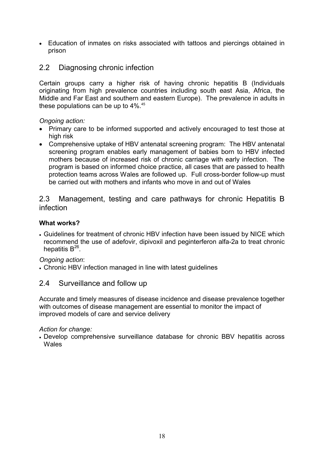· Education of inmates on risks associated with tattoos and piercings obtained in prison

# 2.2 Diagnosing chronic infection

Certain groups carry a higher risk of having chronic hepatitis B (Individuals originating from high prevalence countries including south east Asia, Africa, the Middle and Far East and southern and eastern Europe). The prevalence in adults in these populations can be up to 4%.<sup>45</sup>

#### *Ongoing action:*

- · Primary care to be informed supported and actively encouraged to test those at high risk
- · Comprehensive uptake of HBV antenatal screening program: The HBV antenatal screening program enables early management of babies born to HBV infected mothers because of increased risk of chronic carriage with early infection. The program is based on informed choice practice, all cases that are passed to health protection teams across Wales are followed up. Full cross-border follow-up must be carried out with mothers and infants who move in and out of Wales

2.3 Management, testing and care pathways for chronic Hepatitis B infection

#### **What works?**

· Guidelines for treatment of chronic HBV infection have been issued by NICE which recommend the use of adefovir, dipivoxil and peginterferon alfa-2a to treat chronic hepatitis B $^{26}$ .

*Ongoing action*:

· Chronic HBV infection managed in line with latest guidelines

### 2.4 Surveillance and follow up

Accurate and timely measures of disease incidence and disease prevalence together with outcomes of disease management are essential to monitor the impact of improved models of care and service delivery

#### *Action for change:*

· Develop comprehensive surveillance database for chronic BBV hepatitis across Wales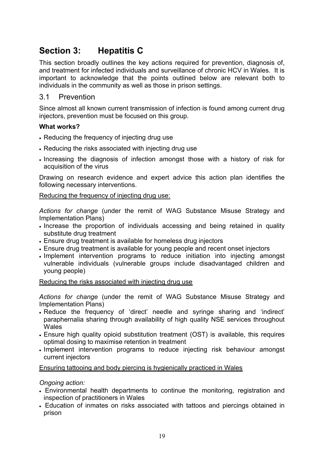# **Section 3: Hepatitis C**

This section broadly outlines the key actions required for prevention, diagnosis of, and treatment for infected individuals and surveillance of chronic HCV in Wales. It is important to acknowledge that the points outlined below are relevant both to individuals in the community as well as those in prison settings.

#### 3.1 Prevention

Since almost all known current transmission of infection is found among current drug injectors, prevention must be focused on this group.

#### **What works?**

- · Reducing the frequency of injecting drug use
- · Reducing the risks associated with injecting drug use
- · Increasing the diagnosis of infection amongst those with a history of risk for acquisition of the virus

Drawing on research evidence and expert advice this action plan identifies the following necessary interventions.

#### Reducing the frequency of injecting drug use:

*Actions for change* (under the remit of WAG Substance Misuse Strategy and Implementation Plans)

- · Increase the proportion of individuals accessing and being retained in quality substitute drug treatment
- · Ensure drug treatment is available for homeless drug injectors
- · Ensure drug treatment is available for young people and recent onset injectors
- · Implement intervention programs to reduce initiation into injecting amongst vulnerable individuals (vulnerable groups include disadvantaged children and young people)

#### Reducing the risks associated with injecting drug use

*Actions for change* (under the remit of WAG Substance Misuse Strategy and Implementation Plans)

- · Reduce the frequency of 'direct' needle and syringe sharing and 'indirect' paraphernalia sharing through availability of high quality NSE services throughout **Wales**
- · Ensure high quality opioid substitution treatment (OST) is available, this requires optimal dosing to maximise retention in treatment
- · Implement intervention programs to reduce injecting risk behaviour amongst current injectors

#### Ensuring tattooing and body piercing is hygienically practiced in Wales

#### *Ongoing action:*

- · Environmental health departments to continue the monitoring, registration and inspection of practitioners in Wales
- · Education of inmates on risks associated with tattoos and piercings obtained in prison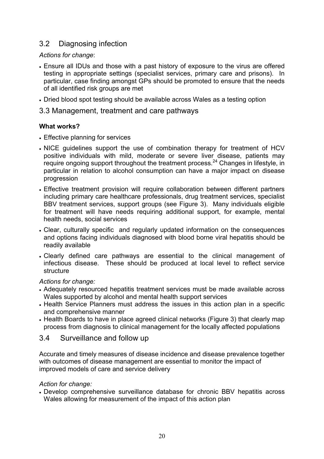# 3.2 Diagnosing infection

#### *Actions for change*:

- · Ensure all IDUs and those with a past history of exposure to the virus are offered testing in appropriate settings (specialist services, primary care and prisons). In particular, case finding amongst GPs should be promoted to ensure that the needs of all identified risk groups are met
- · Dried blood spot testing should be available across Wales as a testing option

#### 3.3 Management, treatment and care pathways

#### **What works?**

- · Effective planning for services
- · NICE guidelines support the use of combination therapy for treatment of HCV positive individuals with mild, moderate or severe liver disease, patients may require ongoing support throughout the treatment process.<sup>24</sup> Changes in lifestyle, in particular in relation to alcohol consumption can have a major impact on disease progression
- · Effective treatment provision will require collaboration between different partners including primary care healthcare professionals, drug treatment services, specialist BBV treatment services, support groups (see Figure 3). Many individuals eligible for treatment will have needs requiring additional support, for example, mental health needs, social services
- · Clear, culturally specific and regularly updated information on the consequences and options facing individuals diagnosed with blood borne viral hepatitis should be readily available
- · Clearly defined care pathways are essential to the clinical management of infectious disease. These should be produced at local level to reflect service structure

*Actions for change:* 

- · Adequately resourced hepatitis treatment services must be made available across Wales supported by alcohol and mental health support services
- · Health Service Planners must address the issues in this action plan in a specific and comprehensive manner
- · Health Boards to have in place agreed clinical networks (Figure 3) that clearly map process from diagnosis to clinical management for the locally affected populations

#### 3.4 Surveillance and follow up

Accurate and timely measures of disease incidence and disease prevalence together with outcomes of disease management are essential to monitor the impact of improved models of care and service delivery

#### *Action for change:*

· Develop comprehensive surveillance database for chronic BBV hepatitis across Wales allowing for measurement of the impact of this action plan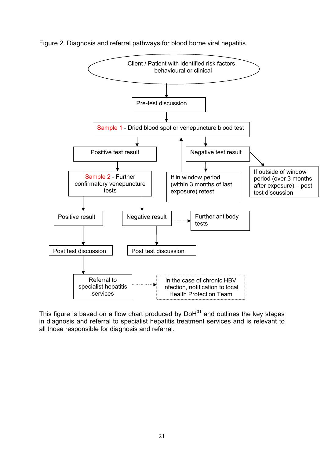

#### Figure 2. Diagnosis and referral pathways for blood borne viral hepatitis

This figure is based on a flow chart produced by  $D \circ H^{31}$  and outlines the key stages in diagnosis and referral to specialist hepatitis treatment services and is relevant to all those responsible for diagnosis and referral.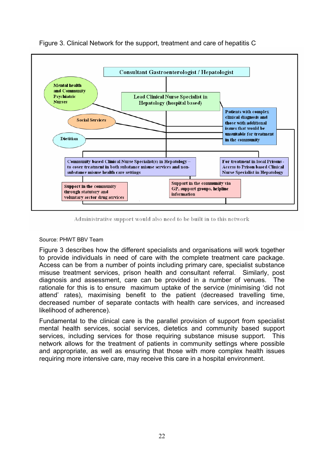

Figure 3. Clinical Network for the support, treatment and care of hepatitis C

#### Administrative support would also need to be built in to this network

#### Source: PHWT BBV Team

Figure 3 describes how the different specialists and organisations will work together to provide individuals in need of care with the complete treatment care package. Access can be from a number of points including primary care, specialist substance misuse treatment services, prison health and consultant referral. Similarly, post diagnosis and assessment, care can be provided in a number of venues. The rationale for this is to ensure maximum uptake of the service (minimising 'did not attend' rates), maximising benefit to the patient (decreased travelling time, decreased number of separate contacts with health care services, and increased likelihood of adherence).

Fundamental to the clinical care is the parallel provision of support from specialist mental health services, social services, dietetics and community based support services, including services for those requiring substance misuse support. This network allows for the treatment of patients in community settings where possible and appropriate, as well as ensuring that those with more complex health issues requiring more intensive care, may receive this care in a hospital environment.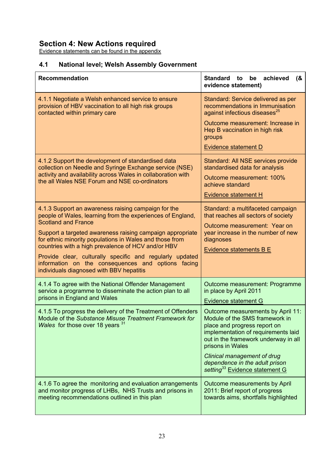# **Section 4: New Actions required**

Evidence statements can be found in the appendix

# **4.1 National level; Welsh Assembly Government**

| <b>Recommendation</b>                                                                                                                                                                                                                                                                                                                                                                                                                                                                       | achieved<br><b>Standard</b><br>to<br>be<br>(8)<br>evidence statement)                                                                                                                                                                                                                                                 |
|---------------------------------------------------------------------------------------------------------------------------------------------------------------------------------------------------------------------------------------------------------------------------------------------------------------------------------------------------------------------------------------------------------------------------------------------------------------------------------------------|-----------------------------------------------------------------------------------------------------------------------------------------------------------------------------------------------------------------------------------------------------------------------------------------------------------------------|
| 4.1.1 Negotiate a Welsh enhanced service to ensure<br>provision of HBV vaccination to all high risk groups<br>contacted within primary care                                                                                                                                                                                                                                                                                                                                                 | Standard: Service delivered as per<br>recommendations in Immunisation<br>against infectious diseases <sup>25</sup><br>Outcome measurement: Increase in<br>Hep B vaccination in high risk<br>groups<br><b>Evidence statement D</b>                                                                                     |
| 4.1.2 Support the development of standardised data<br>collection on Needle and Syringe Exchange service (NSE)<br>activity and availability across Wales in collaboration with<br>the all Wales NSE Forum and NSE co-ordinators                                                                                                                                                                                                                                                              | Standard: All NSE services provide<br>standardised data for analysis<br>Outcome measurement: 100%<br>achieve standard<br>Evidence statement H                                                                                                                                                                         |
| 4.1.3 Support an awareness raising campaign for the<br>people of Wales, learning from the experiences of England,<br><b>Scotland and France</b><br>Support a targeted awareness raising campaign appropriate<br>for ethnic minority populations in Wales and those from<br>countries with a high prevalence of HCV and/or HBV<br>Provide clear, culturally specific and regularly updated<br>information on the consequences and options facing<br>individuals diagnosed with BBV hepatitis | Standard: a multifaceted campaign<br>that reaches all sectors of society<br>Outcome measurement: Year on<br>year increase in the number of new<br>diagnoses<br><b>Evidence statements B E</b>                                                                                                                         |
| 4.1.4 To agree with the National Offender Management<br>service a programme to disseminate the action plan to all<br>prisons in England and Wales                                                                                                                                                                                                                                                                                                                                           | Outcome measurement: Programme<br>in place by April 2011<br>Evidence statement G                                                                                                                                                                                                                                      |
| 4.1.5 To progress the delivery of the Treatment of Offenders<br>Module of the Substance Misuse Treatment Framework for<br>Wales for those over 18 years 31                                                                                                                                                                                                                                                                                                                                  | Outcome measurements by April 11:<br>Module of the SMS framework in<br>place and progress report on<br>implementation of requirements laid<br>out in the framework underway in all<br>prisons in Wales<br>Clinical management of drug<br>dependence in the adult prison<br>setting <sup>33</sup> Evidence statement G |
| 4.1.6 To agree the monitoring and evaluation arrangements<br>and monitor progress of LHBs, NHS Trusts and prisons in<br>meeting recommendations outlined in this plan                                                                                                                                                                                                                                                                                                                       | Outcome measurements by April<br>2011: Brief report of progress<br>towards aims, shortfalls highlighted                                                                                                                                                                                                               |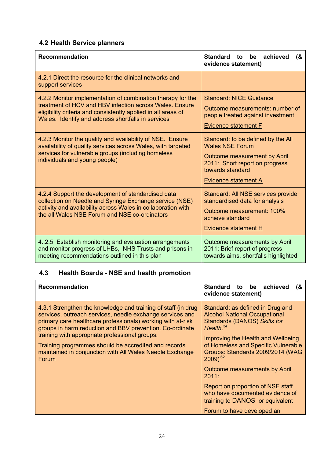# **4.2 Health Service planners**

| <b>Recommendation</b>                                                                                                                                                                                                                         | <b>Standard</b><br>achieved<br>be<br>(8)<br>to<br>evidence statement)                                                                                                      |
|-----------------------------------------------------------------------------------------------------------------------------------------------------------------------------------------------------------------------------------------------|----------------------------------------------------------------------------------------------------------------------------------------------------------------------------|
| 4.2.1 Direct the resource for the clinical networks and<br>support services                                                                                                                                                                   |                                                                                                                                                                            |
| 4.2.2 Monitor implementation of combination therapy for the<br>treatment of HCV and HBV infection across Wales. Ensure<br>eligibility criteria and consistently applied in all areas of<br>Wales. Identify and address shortfalls in services | <b>Standard: NICE Guidance</b><br>Outcome measurements: number of<br>people treated against investment<br><b>Evidence statement F</b>                                      |
| 4.2.3 Monitor the quality and availability of NSE. Ensure<br>availability of quality services across Wales, with targeted<br>services for vulnerable groups (including homeless<br>individuals and young people)                              | Standard: to be defined by the All<br><b>Wales NSE Forum</b><br>Outcome measurement by April<br>2011: Short report on progress<br>towards standard<br>Evidence statement A |
| 4.2.4 Support the development of standardised data<br>collection on Needle and Syringe Exchange service (NSE)<br>activity and availability across Wales in collaboration with<br>the all Wales NSE Forum and NSE co-ordinators                | Standard: All NSE services provide<br>standardised data for analysis<br>Outcome measurement: 100%<br>achieve standard<br>Evidence statement H                              |
| 4.2.5 Establish monitoring and evaluation arrangements<br>and monitor progress of LHBs, NHS Trusts and prisons in<br>meeting recommendations outlined in this plan                                                                            | Outcome measurements by April<br>2011: Brief report of progress<br>towards aims, shortfalls highlighted                                                                    |

# **4.3 Health Boards - NSE and health promotion**

| <b>Recommendation</b>                                                                                                                                                                                                                                                                                                                                                                                                                       | Standard to be achieved<br>(8)<br>evidence statement)                                                                                                                                                                                                                                                                                                                                                                                                        |
|---------------------------------------------------------------------------------------------------------------------------------------------------------------------------------------------------------------------------------------------------------------------------------------------------------------------------------------------------------------------------------------------------------------------------------------------|--------------------------------------------------------------------------------------------------------------------------------------------------------------------------------------------------------------------------------------------------------------------------------------------------------------------------------------------------------------------------------------------------------------------------------------------------------------|
| 4.3.1 Strengthen the knowledge and training of staff (in drug<br>services, outreach services, needle exchange services and<br>primary care healthcare professionals) working with at-risk<br>groups in harm reduction and BBV prevention. Co-ordinate<br>training with appropriate professional groups.<br>Training programmes should be accredited and records<br>maintained in conjunction with All Wales Needle Exchange<br><b>Forum</b> | Standard: as defined in Drug and<br><b>Alcohol National Occupational</b><br><b>Standards (DANOS) Skills for</b><br>Health. $34$<br>Improving the Health and Wellbeing<br>of Homeless and Specific Vulnerable<br>Groups: Standards 2009/2014 (WAG<br>$2009)$ <sup>62</sup><br>Outcome measurements by April<br>2011:<br>Report on proportion of NSE staff<br>who have documented evidence of<br>training to DANOS or equivalent<br>Forum to have developed an |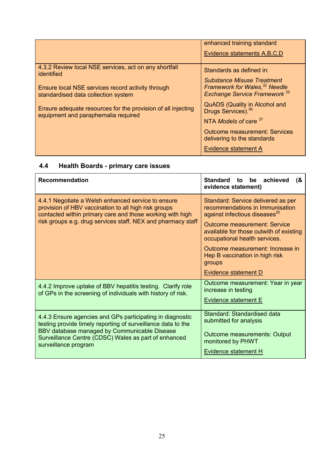|                                                                                                      | enhanced training standard                                                                                             |
|------------------------------------------------------------------------------------------------------|------------------------------------------------------------------------------------------------------------------------|
|                                                                                                      | Evidence statements A, B, C, D                                                                                         |
| 4.3.2 Review local NSE services, act on any shortfall<br>identified                                  | Standards as defined in:                                                                                               |
| Ensure local NSE services record activity through<br>standardised data collection system             | <b>Substance Misuse Treatment</b><br>Framework for Wales, <sup>32</sup> Needle<br><b>Exchange Service Framework</b> 35 |
| Ensure adequate resources for the provision of all injecting<br>equipment and paraphernalia required | <b>QuADS (Quality in Alcohol and</b><br>Drugs Services). 36                                                            |
|                                                                                                      | NTA Models of care 37                                                                                                  |
|                                                                                                      | <b>Outcome measurement: Services</b><br>delivering to the standards                                                    |
|                                                                                                      | Evidence statement A                                                                                                   |

# **4.4 Health Boards - primary care issues**

| <b>Recommendation</b>                                                                                                                                                                                                                                     | Standard<br>to be achieved<br>(8)<br>evidence statement)                                                                                                                                                                                                                                                              |
|-----------------------------------------------------------------------------------------------------------------------------------------------------------------------------------------------------------------------------------------------------------|-----------------------------------------------------------------------------------------------------------------------------------------------------------------------------------------------------------------------------------------------------------------------------------------------------------------------|
| 4.4.1 Negotiate a Welsh enhanced service to ensure<br>provision of HBV vaccination to all high risk groups<br>contacted within primary care and those working with high<br>risk groups e.g. drug services staff, NEX and pharmacy staff                   | Standard: Service delivered as per<br>recommendations in Immunisation<br>against infectious diseases <sup>25</sup><br><b>Outcome measurement: Service</b><br>available for those outwith of existing<br>occupational health services.<br>Outcome measurement: Increase in<br>Hep B vaccination in high risk<br>groups |
|                                                                                                                                                                                                                                                           | Evidence statement D                                                                                                                                                                                                                                                                                                  |
| 4.4.2 Improve uptake of BBV hepatitis testing. Clarify role<br>of GPs in the screening of individuals with history of risk.                                                                                                                               | Outcome measurement: Year in year<br>increase in testing<br><b>Evidence statement E</b>                                                                                                                                                                                                                               |
| 4.4.3 Ensure agencies and GPs participating in diagnostic<br>testing provide timely reporting of surveillance data to the<br>BBV database managed by Communicable Disease<br>Surveillance Centre (CDSC) Wales as part of enhanced<br>surveillance program | Standard: Standardised data<br>submitted for analysis<br><b>Outcome measurements: Output</b><br>monitored by PHWT<br>Evidence statement H                                                                                                                                                                             |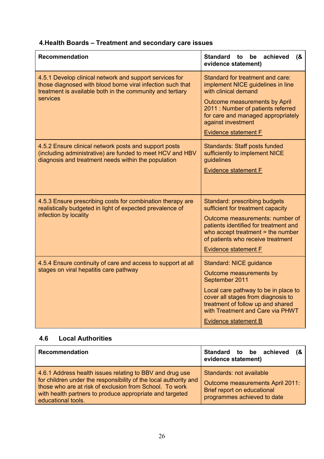# **4.Health Boards – Treatment and secondary care issues**

| <b>Recommendation</b>                                                                                                                                                                          | Standard to<br>be<br>achieved<br>(8)<br>evidence statement)                                                                                                                                                                                                     |
|------------------------------------------------------------------------------------------------------------------------------------------------------------------------------------------------|-----------------------------------------------------------------------------------------------------------------------------------------------------------------------------------------------------------------------------------------------------------------|
| 4.5.1 Develop clinical network and support services for<br>those diagnosed with blood borne viral infection such that<br>treatment is available both in the community and tertiary<br>services | Standard for treatment and care:<br>implement NICE guidelines in line<br>with clinical demand<br>Outcome measurements by April<br>2011 : Number of patients referred<br>for care and managed appropriately<br>against investment<br><b>Evidence statement F</b> |
| 4.5.2 Ensure clinical network posts and support posts<br>(including administrative) are funded to meet HCV and HBV<br>diagnosis and treatment needs within the population                      | <b>Standards: Staff posts funded</b><br>sufficiently to implement NICE<br>guidelines<br><b>Evidence statement F</b>                                                                                                                                             |
| 4.5.3 Ensure prescribing costs for combination therapy are<br>realistically budgeted in light of expected prevalence of<br>infection by locality                                               | Standard: prescribing budgets<br>sufficient for treatment capacity<br>Outcome measurements: number of<br>patients identified for treatment and<br>who accept treatment $=$ the number<br>of patients who receive treatment<br><b>Evidence statement F</b>       |
| 4.5.4 Ensure continuity of care and access to support at all<br>stages on viral hepatitis care pathway                                                                                         | <b>Standard: NICE guidance</b><br>Outcome measurements by<br>September 2011<br>Local care pathway to be in place to<br>cover all stages from diagnosis to<br>treatment of follow up and shared<br>with Treatment and Care via PHWT<br>Evidence statement B      |

# **4.6 Local Authorities**

| <b>Recommendation</b>                                                                                                                                                                                                                                                     | Standard to be achieved (&<br>evidence statement)                                                                          |
|---------------------------------------------------------------------------------------------------------------------------------------------------------------------------------------------------------------------------------------------------------------------------|----------------------------------------------------------------------------------------------------------------------------|
| 4.6.1 Address health issues relating to BBV and drug use<br>for children under the responsibility of the local authority and<br>those who are at risk of exclusion from School. To work<br>with health partners to produce appropriate and targeted<br>educational tools. | Standards: not available<br>Outcome measurements April 2011:<br>Brief report on educational<br>programmes achieved to date |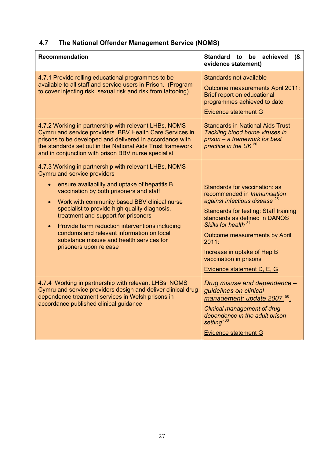# **4.7 The National Offender Management Service (NOMS)**

| <b>Recommendation</b>                                                                                                                                                                                                                                                                                                                                                                                                                                                                                                          | Standard to be achieved<br>(8)<br>evidence statement)                                                                                                                                                                                                                                                                                       |
|--------------------------------------------------------------------------------------------------------------------------------------------------------------------------------------------------------------------------------------------------------------------------------------------------------------------------------------------------------------------------------------------------------------------------------------------------------------------------------------------------------------------------------|---------------------------------------------------------------------------------------------------------------------------------------------------------------------------------------------------------------------------------------------------------------------------------------------------------------------------------------------|
| 4.7.1 Provide rolling educational programmes to be<br>available to all staff and service users in Prison. (Program<br>to cover injecting risk, sexual risk and risk from tattooing)                                                                                                                                                                                                                                                                                                                                            | Standards not available<br>Outcome measurements April 2011:<br>Brief report on educational<br>programmes achieved to date<br><b>Evidence statement G</b>                                                                                                                                                                                    |
| 4.7.2 Working in partnership with relevant LHBs, NOMS<br>Cymru and service providers BBV Health Care Services in<br>prisons to be developed and delivered in accordance with<br>the standards set out in the National Aids Trust framework<br>and in conjunction with prison BBV nurse specialist                                                                                                                                                                                                                              | <b>Standards in National Aids Trust</b><br>Tackling blood borne viruses in<br>prison – a framework for best<br>practice in the UK <sup>20</sup>                                                                                                                                                                                             |
| 4.7.3 Working in partnership with relevant LHBs, NOMS<br><b>Cymru and service providers</b><br>ensure availability and uptake of hepatitis B<br>vaccination by both prisoners and staff<br>Work with community based BBV clinical nurse<br>$\bullet$<br>specialist to provide high quality diagnosis,<br>treatment and support for prisoners<br>Provide harm reduction interventions including<br>$\bullet$<br>condoms and relevant information on local<br>substance misuse and health services for<br>prisoners upon release | Standards for vaccination: as<br>recommended in Immunisation<br>against infectious disease <sup>25</sup><br>Standards for testing: Staff training<br>standards as defined in DANOS<br>Skills for health 34<br>Outcome measurements by April<br>2011:<br>Increase in uptake of Hep B<br>vaccination in prisons<br>Evidence statement D, E, G |
| 4.7.4 Working in partnership with relevant LHBs, NOMS<br>Cymru and service providers design and deliver clinical drug<br>dependence treatment services in Welsh prisons in<br>accordance published clinical guidance                                                                                                                                                                                                                                                                                                           | Drug misuse and dependence -<br>quidelines on clinical<br>management: update 2007. <sup>50</sup> .<br>Clinical management of drug<br>dependence in the adult prison<br>setting' 33<br><b>Evidence statement G</b>                                                                                                                           |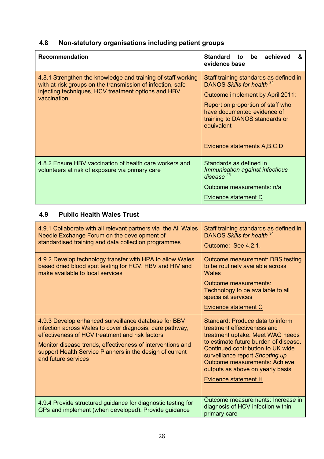# **4.8 Non-statutory organisations including patient groups**

| <b>Recommendation</b>                                                                                                                                                                            | Standard to be<br>achieved<br>&<br>evidence base                                                                                                                                                                                                               |  |
|--------------------------------------------------------------------------------------------------------------------------------------------------------------------------------------------------|----------------------------------------------------------------------------------------------------------------------------------------------------------------------------------------------------------------------------------------------------------------|--|
| 4.8.1 Strengthen the knowledge and training of staff working<br>with at-risk groups on the transmission of infection, safe<br>injecting techniques, HCV treatment options and HBV<br>vaccination | Staff training standards as defined in<br>DANOS Skills for health 34<br>Outcome implement by April 2011:<br>Report on proportion of staff who<br>have documented evidence of<br>training to DANOS standards or<br>equivalent<br>Evidence statements A, B, C, D |  |
| 4.8.2 Ensure HBV vaccination of health care workers and<br>volunteers at risk of exposure via primary care                                                                                       | Standards as defined in<br>Immunisation against infectious<br>disease $^{25}$<br>Outcome measurements: n/a<br>Evidence statement D                                                                                                                             |  |

# **4.9 Public Health Wales Trust**

| 4.9.1 Collaborate with all relevant partners via the All Wales<br>Needle Exchange Forum on the development of<br>standardised training and data collection programmes                                                                                                                                                | Staff training standards as defined in<br>DANOS Skills for health 34<br>Outcome: See 4.2.1.                                                                                                                                                                                                                              |
|----------------------------------------------------------------------------------------------------------------------------------------------------------------------------------------------------------------------------------------------------------------------------------------------------------------------|--------------------------------------------------------------------------------------------------------------------------------------------------------------------------------------------------------------------------------------------------------------------------------------------------------------------------|
| 4.9.2 Develop technology transfer with HPA to allow Wales<br>based dried blood spot testing for HCV, HBV and HIV and<br>make available to local services                                                                                                                                                             | Outcome measurement: DBS testing<br>to be routinely available across<br><b>Wales</b><br>Outcome measurements:<br>Technology to be available to all<br>specialist services<br>Evidence statement C                                                                                                                        |
| 4.9.3 Develop enhanced surveillance database for BBV<br>infection across Wales to cover diagnosis, care pathway,<br>effectiveness of HCV treatment and risk factors<br>Monitor disease trends, effectiveness of interventions and<br>support Health Service Planners in the design of current<br>and future services | Standard: Produce data to inform<br>treatment effectiveness and<br>treatment uptake. Meet WAG needs<br>to estimate future burden of disease.<br>Continued contribution to UK wide<br>surveillance report Shooting up<br><b>Outcome measurements: Achieve</b><br>outputs as above on yearly basis<br>Evidence statement H |
| 4.9.4 Provide structured guidance for diagnostic testing for<br>GPs and implement (when developed). Provide quidance                                                                                                                                                                                                 | Outcome measurements: Increase in<br>diagnosis of HCV infection within<br>primary care                                                                                                                                                                                                                                   |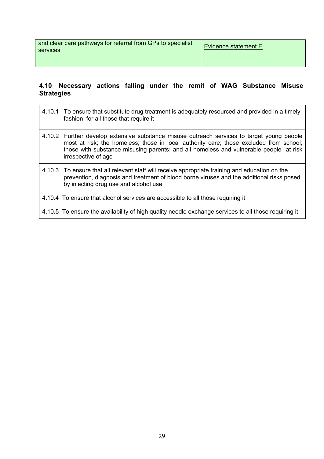and clear care pathways for referral from GPs to specialist  $\bigg|\,\frac{\text{Evidence statement E}}{\text{Evidence statement E}}\,\bigg|$ 

#### **4.10 Necessary actions falling under the remit of WAG Substance Misuse Strategies**

- 4.10.1 To ensure that substitute drug treatment is adequately resourced and provided in a timely fashion for all those that require it
- 4.10.2 Further develop extensive substance misuse outreach services to target young people most at risk; the homeless; those in local authority care; those excluded from school; those with substance misusing parents; and all homeless and vulnerable people at risk irrespective of age
- 4.10.3 To ensure that all relevant staff will receive appropriate training and education on the prevention, diagnosis and treatment of blood borne viruses and the additional risks posed by injecting drug use and alcohol use
- 4.10.4 To ensure that alcohol services are accessible to all those requiring it

4.10.5 To ensure the availability of high quality needle exchange services to all those requiring it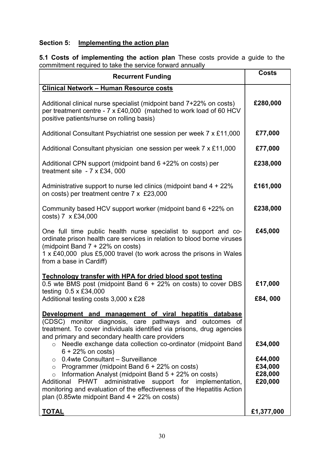# **Section 5: Implementing the action plan**

**5.1 Costs of implementing the action plan** These costs provide a guide to the commitment required to take the service forward annually

| <b>Recurrent Funding</b>                                                                                                                                                                                                                                                                                                                                           | <b>Costs</b>                             |
|--------------------------------------------------------------------------------------------------------------------------------------------------------------------------------------------------------------------------------------------------------------------------------------------------------------------------------------------------------------------|------------------------------------------|
| <b>Clinical Network - Human Resource costs</b>                                                                                                                                                                                                                                                                                                                     |                                          |
| Additional clinical nurse specialist (midpoint band 7+22% on costs)<br>per treatment centre - 7 x £40,000 (matched to work load of 60 HCV<br>positive patients/nurse on rolling basis)                                                                                                                                                                             | £280,000                                 |
| Additional Consultant Psychiatrist one session per week 7 x £11,000                                                                                                                                                                                                                                                                                                | £77,000                                  |
| Additional Consultant physician one session per week 7 x £11,000                                                                                                                                                                                                                                                                                                   | £77,000                                  |
| Additional CPN support (midpoint band 6 +22% on costs) per<br>treatment site $-7 \times £34$ , 000                                                                                                                                                                                                                                                                 | £238,000                                 |
| Administrative support to nurse led clinics (midpoint band $4 + 22\%$<br>on costs) per treatment centre 7 x £23,000                                                                                                                                                                                                                                                | £161,000                                 |
| Community based HCV support worker (midpoint band 6 +22% on<br>costs) 7 x £34,000                                                                                                                                                                                                                                                                                  | £238,000                                 |
| One full time public health nurse specialist to support and co-<br>ordinate prison health care services in relation to blood borne viruses<br>(midpoint Band 7 + 22% on costs)<br>1 x £40,000 plus £5,000 travel (to work across the prisons in Wales<br>from a base in Cardiff)                                                                                   | £45,000                                  |
| Technology transfer with HPA for dried blood spot testing<br>0.5 wte BMS post (midpoint Band 6 + 22% on costs) to cover DBS<br>testing 0.5 x £34,000<br>Additional testing costs 3,000 x £28                                                                                                                                                                       | £17,000<br>£84,000                       |
| Development and management of viral hepatitis database<br>(CDSC) monitor diagnosis, care pathways and outcomes of<br>treatment. To cover individuals identified via prisons, drug agencies<br>and primary and secondary health care providers                                                                                                                      |                                          |
| Needle exchange data collection co-ordinator (midpoint Band<br>$6 + 22%$ on costs)                                                                                                                                                                                                                                                                                 | £34,000                                  |
| $\circ$ 0.4wte Consultant – Surveillance<br>o Programmer (midpoint Band $6 + 22\%$ on costs)<br>Information Analyst (midpoint Band $5 + 22\%$ on costs)<br>$\circ$<br>PHWT administrative support for implementation,<br>Additional<br>monitoring and evaluation of the effectiveness of the Hepatitis Action<br>plan (0.85 wte midpoint Band $4 + 22\%$ on costs) | £44,000<br>£34,000<br>£28,000<br>£20,000 |
| <b>TOTAL</b>                                                                                                                                                                                                                                                                                                                                                       | £1,377,000                               |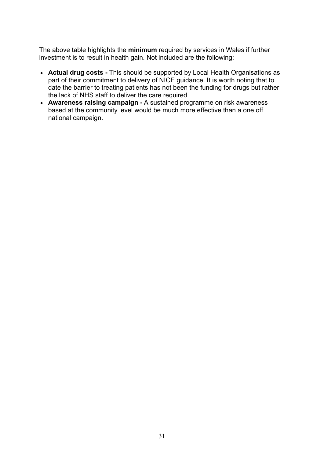The above table highlights the **minimum** required by services in Wales if further investment is to result in health gain. Not included are the following:

- · **Actual drug costs -** This should be supported by Local Health Organisations as part of their commitment to delivery of NICE guidance. It is worth noting that to date the barrier to treating patients has not been the funding for drugs but rather the lack of NHS staff to deliver the care required
- · **Awareness raising campaign -** A sustained programme on risk awareness based at the community level would be much more effective than a one off national campaign.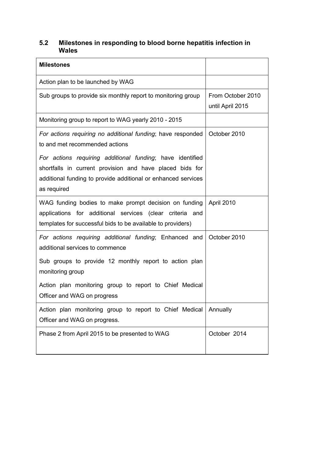#### **5.2 Milestones in responding to blood borne hepatitis infection in Wales**

| <b>Milestones</b>                                                                                                                                                                                     |                                       |
|-------------------------------------------------------------------------------------------------------------------------------------------------------------------------------------------------------|---------------------------------------|
| Action plan to be launched by WAG                                                                                                                                                                     |                                       |
| Sub groups to provide six monthly report to monitoring group                                                                                                                                          | From October 2010<br>until April 2015 |
| Monitoring group to report to WAG yearly 2010 - 2015                                                                                                                                                  |                                       |
| For actions requiring no additional funding; have responded<br>to and met recommended actions                                                                                                         | October 2010                          |
| For actions requiring additional funding; have identified<br>shortfalls in current provision and have placed bids for<br>additional funding to provide additional or enhanced services<br>as required |                                       |
| WAG funding bodies to make prompt decision on funding<br>applications for additional services (clear criteria and<br>templates for successful bids to be available to providers)                      | April 2010                            |
| For actions requiring additional funding; Enhanced and<br>additional services to commence                                                                                                             | October 2010                          |
| Sub groups to provide 12 monthly report to action plan<br>monitoring group                                                                                                                            |                                       |
| Action plan monitoring group to report to Chief Medical<br>Officer and WAG on progress                                                                                                                |                                       |
| Action plan monitoring group to report to Chief Medical<br>Officer and WAG on progress.                                                                                                               | Annually                              |
| Phase 2 from April 2015 to be presented to WAG                                                                                                                                                        | October 2014                          |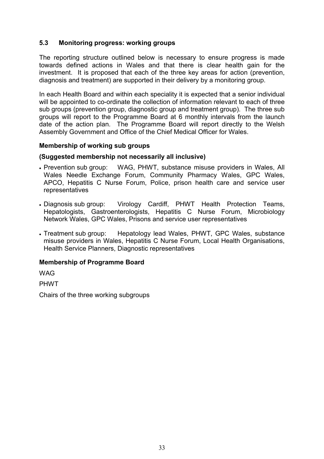#### **5.3 Monitoring progress: working groups**

The reporting structure outlined below is necessary to ensure progress is made towards defined actions in Wales and that there is clear health gain for the investment. It is proposed that each of the three key areas for action (prevention, diagnosis and treatment) are supported in their delivery by a monitoring group.

In each Health Board and within each speciality it is expected that a senior individual will be appointed to co-ordinate the collection of information relevant to each of three sub groups (prevention group, diagnostic group and treatment group). The three sub groups will report to the Programme Board at 6 monthly intervals from the launch date of the action plan. The Programme Board will report directly to the Welsh Assembly Government and Office of the Chief Medical Officer for Wales.

#### **Membership of working sub groups**

#### **(Suggested membership not necessarily all inclusive)**

- Prevention sub group: WAG, PHWT, substance misuse providers in Wales, All Wales Needle Exchange Forum, Community Pharmacy Wales, GPC Wales, APCO, Hepatitis C Nurse Forum, Police, prison health care and service user representatives
- · Diagnosis sub group: Virology Cardiff, PHWT Health Protection Teams, Hepatologists, Gastroenterologists, Hepatitis C Nurse Forum, Microbiology Network Wales, GPC Wales, Prisons and service user representatives
- · Treatment sub group: Hepatology lead Wales, PHWT, GPC Wales, substance misuse providers in Wales, Hepatitis C Nurse Forum, Local Health Organisations, Health Service Planners, Diagnostic representatives

#### **Membership of Programme Board**

**WAG** 

PHWT

Chairs of the three working subgroups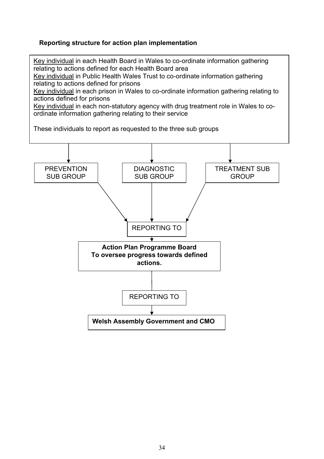#### **Reporting structure for action plan implementation**

Key individual in each Health Board in Wales to co-ordinate information gathering relating to actions defined for each Health Board area

Key individual in Public Health Wales Trust to co-ordinate information gathering relating to actions defined for prisons

Key individual in each prison in Wales to co-ordinate information gathering relating to actions defined for prisons

Key individual in each non-statutory agency with drug treatment role in Wales to coordinate information gathering relating to their service

These individuals to report as requested to the three sub groups

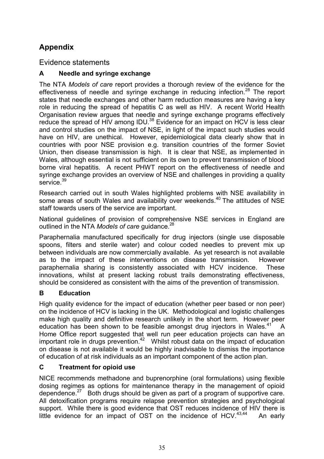# **Appendix**

Evidence statements

## **A Needle and syringe exchange**

The NTA *Models of care* report provides a thorough review of the evidence for the effectiveness of needle and syringe exchange in reducing infection.<sup>28</sup> The report states that needle exchanges and other harm reduction measures are having a key role in reducing the spread of hepatitis C as well as HIV. A recent World Health Organisation review argues that needle and syringe exchange programs effectively reduce the spread of HIV among IDU.<sup>38</sup> Evidence for an impact on HCV is less clear and control studies on the impact of NSE, in light of the impact such studies would have on HIV, are unethical. However, epidemiological data clearly show that in countries with poor NSE provision e.g. transition countries of the former Soviet Union, then disease transmission is high. It is clear that NSE, as implemented in Wales, although essential is not sufficient on its own to prevent transmission of blood borne viral hepatitis. A recent PHWT report on the effectiveness of needle and syringe exchange provides an overview of NSE and challenges in providing a quality service.<sup>39</sup>

Research carried out in south Wales highlighted problems with NSE availability in some areas of south Wales and availability over weekends.<sup>40</sup> The attitudes of NSE staff towards users of the service are important.

National guidelines of provision of comprehensive NSE services in England are outlined in the NTA *Models of care* quidance.<sup>28</sup>

Paraphernalia manufactured specifically for drug injectors (single use disposable spoons, filters and sterile water) and colour coded needles to prevent mix up between individuals are now commercially available. As yet research is not available as to the impact of these interventions on disease transmission. However paraphernalia sharing is consistently associated with HCV incidence. These innovations, whilst at present lacking robust trails demonstrating effectiveness, should be considered as consistent with the aims of the prevention of transmission.

### **B Education**

High quality evidence for the impact of education (whether peer based or non peer) on the incidence of HCV is lacking in the UK. Methodological and logistic challenges make high quality and definitive research unlikely in the short term. However peer education has been shown to be feasible amongst drug injectors in Wales. $41$  A Home Office report suggested that well run peer education projects can have an important role in drugs prevention.<sup>42</sup> Whilst robust data on the impact of education on disease is not available it would be highly inadvisable to dismiss the importance of education of at risk individuals as an important component of the action plan.

### **C Treatment for opioid use**

NICE recommends methadone and buprenorphine (oral formulations) using flexible dosing regimes as options for maintenance therapy in the management of opioid dependence.<sup>27</sup> Both drugs should be given as part of a program of supportive care. All detoxification programs require relapse prevention strategies and psychological support. While there is good evidence that OST reduces incidence of HIV there is little evidence for an impact of OST on the incidence of HCV. $43,44$  An early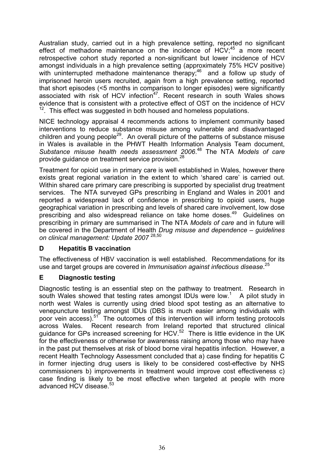Australian study, carried out in a high prevalence setting, reported no significant effect of methadone maintenance on the incidence of  $HCV$ ;<sup>45</sup> a more recent retrospective cohort study reported a non-significant but lower incidence of HCV amongst individuals in a high prevalence setting (approximately 75% HCV positive) with uninterrupted methadone maintenance therapy;<sup>46</sup> and a follow up study of imprisoned heroin users recruited, again from a high prevalence setting, reported that short episodes (<5 months in comparison to longer episodes) were significantly associated with risk of HCV infection<sup>47</sup>. Recent research in south Wales shows evidence that is consistent with a protective effect of OST on the incidence of HCV <sup>12</sup>. This effect was suggested in both housed and homeless populations.

NICE technology appraisal 4 recommends actions to implement community based interventions to reduce substance misuse among vulnerable and disadvantaged children and young people<sup>29</sup>. An overall picture of the patterns of substance misuse in Wales is available in the PHWT Health Information Analysis Team document, *Substance misuse health needs assessment 2006*. <sup>48</sup> The NTA *Models of care* provide guidance on treatment service provision.<sup>28</sup>

Treatment for opioid use in primary care is well established in Wales, however there exists great regional variation in the extent to which 'shared care' is carried out. Within shared care primary care prescribing is supported by specialist drug treatment services. The NTA surveyed GPs prescribing in England and Wales in 2001 and reported a widespread lack of confidence in prescribing to opioid users, huge geographical variation in prescribing and levels of shared care involvement, low dose prescribing and also widespread reliance on take home doses.<sup>49</sup> Guidelines on prescribing in primary are summarised in The NTA *Models of care* and in future will be covered in the Department of Health *Drug misuse and dependence – guidelines on clinical management: Update 2007* 28,50

#### **D Hepatitis B vaccination**

The effectiveness of HBV vaccination is well established. Recommendations for its use and target groups are covered in *Immunisation against infectious disease*. 25

#### **E Diagnostic testing**

Diagnostic testing is an essential step on the pathway to treatment. Research in south Wales showed that testing rates amongst IDUs were low.<sup>1</sup> A pilot study in north west Wales is currently using dried blood spot testing as an alternative to venepuncture testing amongst IDUs (DBS is much easier among individuals with poor vein access).<sup>51</sup> The outcomes of this intervention will inform testing protocols across Wales. Recent research from Ireland reported that structured clinical guidance for GPs increased screening for HCV.<sup>52</sup> There is little evidence in the UK for the effectiveness or otherwise for awareness raising among those who may have in the past put themselves at risk of blood borne viral hepatitis infection. However, a recent Health Technology Assessment concluded that a) case finding for hepatitis C in former injecting drug users is likely to be considered cost-effective by NHS commissioners b) improvements in treatment would improve cost effectiveness c) case finding is likely to be most effective when targeted at people with more advanced HCV disease.<sup>53</sup>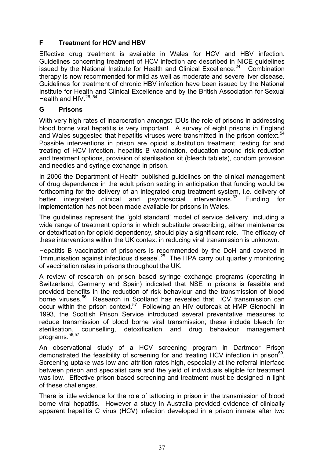### **F Treatment for HCV and HBV**

Effective drug treatment is available in Wales for HCV and HBV infection. Guidelines concerning treatment of HCV infection are described in NICE guidelines issued by the National Institute for Health and Clinical Excellence. $24$  Combination therapy is now recommended for mild as well as moderate and severe liver disease. Guidelines for treatment of chronic HBV infection have been issued by the National Institute for Health and Clinical Excellence and by the British Association for Sexual Health and HIV.<sup>26, 54</sup>

#### **G Prisons**

With very high rates of incarceration amongst IDUs the role of prisons in addressing blood borne viral hepatitis is very important. A survey of eight prisons in England and Wales suggested that hepatitis viruses were transmitted in the prison context.<sup>54</sup> Possible interventions in prison are opioid substitution treatment, testing for and treating of HCV infection, hepatitis B vaccination, education around risk reduction and treatment options, provision of sterilisation kit (bleach tablets), condom provision and needles and syringe exchange in prison.

In 2006 the Department of Health published guidelines on the clinical management of drug dependence in the adult prison setting in anticipation that funding would be forthcoming for the delivery of an integrated drug treatment system, i.e. delivery of better integrated clinical and psychosocial interventions.<sup>33</sup> Funding for implementation has not been made available for prisons in Wales.

The guidelines represent the 'gold standard' model of service delivery, including a wide range of treatment options in which substitute prescribing, either maintenance or detoxification for opioid dependency, should play a significant role. The efficacy of these interventions within the UK context in reducing viral transmission is unknown.

Hepatitis B vaccination of prisoners is recommended by the DoH and covered in 'Immunisation against infectious disease'.<sup>25</sup> The HPA carry out quarterly monitoring of vaccination rates in prisons throughout the UK.

A review of research on prison based syringe exchange programs (operating in Switzerland, Germany and Spain) indicated that NSE in prisons is feasible and provided benefits in the reduction of risk behaviour and the transmission of blood borne viruses.<sup>56</sup> Research in Scotland has revealed that HCV transmission can occur within the prison context.<sup>57</sup> Following an HIV outbreak at HMP Glenochil in 1993, the Scottish Prison Service introduced several preventative measures to reduce transmission of blood borne viral transmission; these include bleach for sterilisation, counselling, detoxification and drug behaviour management programs.<sup>58,57</sup>

An observational study of a HCV screening program in Dartmoor Prison demonstrated the feasibility of screening for and treating HCV infection in prison<sup>59</sup>. Screening uptake was low and attrition rates high, especially at the referral interface between prison and specialist care and the yield of individuals eligible for treatment was low. Effective prison based screening and treatment must be designed in light of these challenges.

There is little evidence for the role of tattooing in prison in the transmission of blood borne viral hepatitis. However a study in Australia provided evidence of clinically apparent hepatitis C virus (HCV) infection developed in a prison inmate after two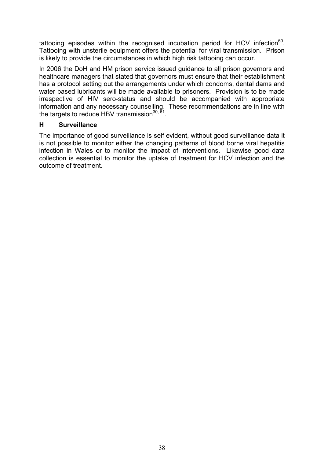tattooing episodes within the recognised incubation period for HCV infection $^{60}$ . Tattooing with unsterile equipment offers the potential for viral transmission. Prison is likely to provide the circumstances in which high risk tattooing can occur.

In 2006 the DoH and HM prison service issued guidance to all prison governors and healthcare managers that stated that governors must ensure that their establishment has a protocol setting out the arrangements under which condoms, dental dams and water based lubricants will be made available to prisoners. Provision is to be made irrespective of HIV sero-status and should be accompanied with appropriate information and any necessary counselling. These recommendations are in line with the targets to reduce HBV transmission<sup>30, 61</sup>.

#### **H Surveillance**

The importance of good surveillance is self evident, without good surveillance data it is not possible to monitor either the changing patterns of blood borne viral hepatitis infection in Wales or to monitor the impact of interventions. Likewise good data collection is essential to monitor the uptake of treatment for HCV infection and the outcome of treatment.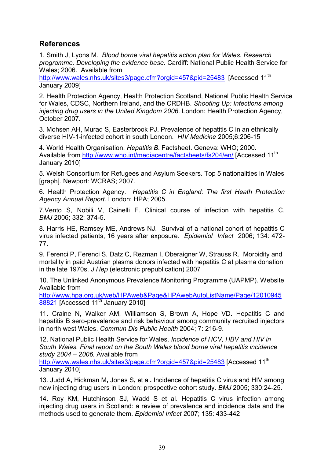# **References**

1. Smith J, Lyons M. *Blood borne viral hepatitis action plan for Wales. Research programme. Developing the evidence base.* Cardiff: National Public Health Service for Wales; 2006. Available from

http://www.wales.nhs.uk/sites3/page.cfm?orgid=457&pid=25483 [Accessed 11<sup>th</sup> January 2009]

2. Health Protection Agency, Health Protection Scotland, National Public Health Service for Wales, CDSC, Northern Ireland, and the CRDHB. *Shooting Up: Infections among injecting drug users in the United Kingdom 2006*. London: Health Protection Agency, October 2007.

3. Mohsen AH, Murad S, Easterbrook PJ. Prevalence of hepatitis C in an ethnically diverse HIV-1-infected cohort in south London. *HIV Medicine* 2005;6:206-15

4. World Health Organisation. *Hepatitis B*. Factsheet. Geneva: WHO; 2000. Available from http://www.who.int/mediacentre/factsheets/fs204/en/ [Accessed 11<sup>th</sup> January 2010]

5. Welsh Consortium for Refugees and Asylum Seekers. Top 5 nationalities in Wales [graph]. Newport: WCRAS; 2007.

6. Health Protection Agency. *Hepatitis C in England: The first Heath Protection Agency Annual Report*. London: HPA; 2005.

7.Vento S, Nobili V, Cainelli F. Clinical course of infection with hepatitis C. *BMJ* 2006; 332: 374-5.

8. Harris HE, Ramsey ME, Andrews NJ. Survival of a national cohort of hepatitis C virus infected patients, 16 years after exposure. *Epidemiol Infect* 2006; 134: 472- 77.

9. Ferenci P, Ferenci S, Datz C, Rezman I, Oberaigner W, Strauss R. Morbidity and mortality in paid Austrian plasma donors infected with hepatitis C at plasma donation in the late 1970s. *J Hep* (electronic prepublication) 2007

10. The Unlinked Anonymous Prevalence Monitoring Programme (UAPMP). Website Available from

http://www.hpa.org.uk/web/HPAweb&Page&HPAwebAutoListName/Page/12010945  $88821$  [Accessed 11<sup>th</sup> January 2010]

11. Craine N, Walker AM, Williamson S, Brown A, Hope VD. Hepatitis C and hepatitis B sero-prevalence and risk behaviour among community recruited injectors in north west Wales. *Commun Dis Public Health* 2004; 7: 216-9.

12. National Public Health Service for Wales. *Incidence of HCV, HBV and HIV in South Wales. Final report on the South Wales blood borne viral hepatitis incidence study 2004 – 2006.* Available from

http://www.wales.nhs.uk/sites3/page.cfm?orgid=457&pid=25483 [Accessed 11<sup>th</sup> January 2010]

13. Judd A**,** Hickman M**,** Jones S**,** et al**.** Incidence of hepatitis C virus and HIV among new injecting drug users in London: prospective cohort study. *BMJ* 2005; 330:24-25.

14. Roy KM, Hutchinson SJ, Wadd S et al. Hepatitis C virus infection among injecting drug users in Scotland: a review of prevalence and incidence data and the methods used to generate them. *Epidemiol Infect 2*007; 135: 433-442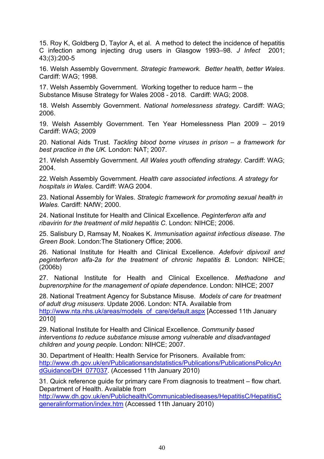15. Roy K, Goldberg D, Taylor A, et al. A method to detect the incidence of hepatitis C infection among injecting drug users in Glasgow 1993–98. *J Infect* 2001; 43;(3):200-5

16. Welsh Assembly Government. *Strategic framework. Better health, better Wales*. Cardiff: WAG; 1998.

17. Welsh Assembly Government. Working together to reduce harm – the Substance Misuse Strategy for Wales 2008 - 2018*.* Cardiff: WAG; 2008.

18. Welsh Assembly Government. *National homelessness strategy*. Cardiff: WAG; 2006.

19. Welsh Assembly Government. Ten Year Homelessness Plan 2009 – 2019 Cardiff: WAG; 2009

20. National Aids Trust. *Tackling blood borne viruses in prison – a framework for best practice in the UK.* London: NAT; 2007.

21. Welsh Assembly Government. *All Wales youth offending strategy*. Cardiff: WAG; 2004.

22. Welsh Assembly Government. *Health care associated infections. A strategy for hospitals in Wales*. Cardiff: WAG 2004.

23. National Assembly for Wales. *Strategic framework for promoting sexual health in Wales.* Cardiff: NAfW; 2000.

24. National Institute for Health and Clinical Excellence. *Peginterferon alfa and ribavirin for the treatment of mild hepatitis C*. London: NIHCE; 2006.

25. Salisbury D, Ramsay M, Noakes K. *Immunisation against infectious disease*. *The Green Book*. London:The Stationery Office; 2006.

26. National Institute for Health and ClinicaI Excellence. *Adefovir dipivoxil and peginterferon alfa-2a for the treatment of chronic hepatitis B.* London: NIHCE; (2006b)

27. National Institute for Health and Clinical Excellence. *Methadone and buprenorphine for the management of opiate dependence*. London: NIHCE; 2007

28. National Treatment Agency for Substance Misuse. *Models of care for treatment of adult drug misusers*. Update 2006. London: NTA. Available from http://www.nta.nhs.uk/areas/models\_of\_care/default.aspx [Accessed 11th January 2010]

29. National Institute for Health and Clinical Excellence. *Community based interventions to reduce substance misuse among vulnerable and disadvantaged children and young people*. London: NIHCE; 2007.

30. Department of Health: Health Service for Prisoners. Available from: http://www.dh.gov.uk/en/Publicationsandstatistics/Publications/PublicationsPolicyAn dGuidance/DH\_077037. (Accessed 11th January 2010)

31. Quick reference guide for primary care From diagnosis to treatment – flow chart. Department of Health. Available from

http://www.dh.gov.uk/en/Publichealth/Communicablediseases/HepatitisC/HepatitisC generalinformation/index.htm (Accessed 11th January 2010)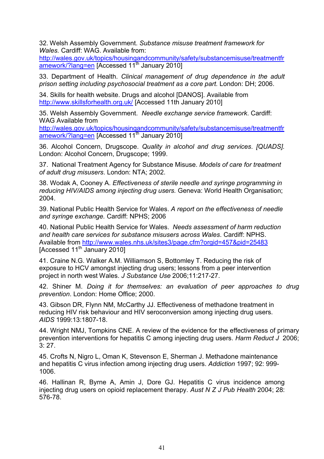32. Welsh Assembly Government. *Substance misuse treatment framework for Wales.* Cardiff: WAG. Available from:

http://wales.gov.uk/topics/housingandcommunity/safety/substancemisuse/treatmentfr amework/?lang=en [Accessed 11<sup>th</sup> January 2010]

33. Department of Health. *Clinical management of drug dependence in the adult prison setting including psychosocial treatment as a core part.* London: DH; 2006.

34. Skills for health website. Drugs and alcohol [DANOS]. Available from http://www.skillsforhealth.org.uk/ [Accessed 11th January 2010]

35. Welsh Assembly Government. *Needle exchange service framework*. Cardiff: WAG Available from

http://wales.gov.uk/topics/housingandcommunity/safety/substancemisuse/treatmentfr amework/?lang=en [Accessed 11<sup>th</sup> January 2010]

36. Alcohol Concern, Drugscope. *Quality in alcohol and drug services*. *[QUADS].*  London: Alcohol Concern, Drugscope; 1999.

37. National Treatment Agency for Substance Misuse. *Models of care for treatment of adult drug misusers*. London: NTA; 2002.

38. Wodak A, Cooney A. *Effectiveness of sterile needle and syringe programming in reducing HIV/AIDS among injecting drug users.* Geneva: World Health Organisation; 2004.

39. National Public Health Service for Wales. *A report on the effectiveness of needle and syringe exchange.* Cardiff: NPHS; 2006

40. National Public Health Service for Wales. *Needs assessment of harm reduction and health care services for substance misusers across Wales*. Cardiff: NPHS. Available from http://www.wales.nhs.uk/sites3/page.cfm?orgid=457&pid=25483 [Accessed 11<sup>th</sup> January 2010]

41. Craine N.G. Walker A.M. Williamson S, Bottomley T. Reducing the risk of exposure to HCV amongst injecting drug users; lessons from a peer intervention project in north west Wales. *J Substance Use* 2006;11:217-27.

42. Shiner M. *Doing it for themselves: an evaluation of peer approaches to drug prevention*. London: Home Office; 2000.

43. Gibson DR, Flynn NM, McCarthy JJ. Effectiveness of methadone treatment in reducing HIV risk behaviour and HIV seroconversion among injecting drug users. *AIDS* 1999:13:1807-18.

44. Wright NMJ, Tompkins CNE. A review of the evidence for the effectiveness of primary prevention interventions for hepatitis C among injecting drug users. *Harm Reduct J* 2006; 3: 27.

45. Crofts N, Nigro L, Oman K, Stevenson E, Sherman J. Methadone maintenance and hepatitis C virus infection among injecting drug users. *Addiction* 1997; 92: 999- 1006.

46. Hallinan R, Byrne A, Amin J, Dore GJ. Hepatitis C virus incidence among injecting drug users on opioid replacement therapy. *Aust N Z J Pub Health* 2004; 28: 576-78.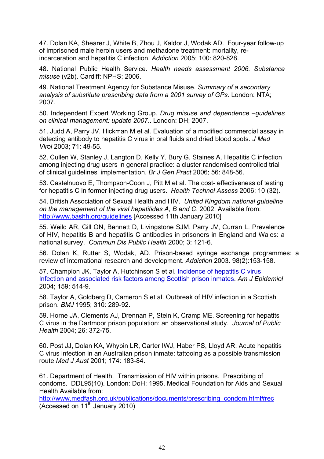47. Dolan KA, Shearer J, White B, Zhou J, Kaldor J, Wodak AD. Four-year follow-up of imprisoned male heroin users and methadone treatment: mortality, reincarceration and hepatitis C infection. *Addiction* 2005; 100: 820-828.

48. National Public Health Service. *Health needs assessment 2006. Substance misuse* (v2b). Cardiff: NPHS; 2006.

49. National Treatment Agency for Substance Misuse. *Summary of a secondary*  analysis of substitute prescribing data from a 2001 survey of GPs. London: NTA: 2007.

50. Independent Expert Working Group. *Drug misuse and dependence –guidelines on clinical management: update 2007*.. London: DH; 2007.

51. Judd A, Parry JV, Hickman M et al*.* Evaluation of a modified commercial assay in detecting antibody to hepatitis C virus in oral fluids and dried blood spots. *J Med Virol* 2003; 71: 49-55.

52. Cullen W, Stanley J, Langton D, Kelly Y, Bury G, Staines A. Hepatitis C infection among injecting drug users in general practice: a cluster randomised controlled trial of clinical guidelines' implementation. *Br J Gen Pract* 2006; 56: 848-56.

53. Castelnuovo E, Thompson-Coon J, Pitt M et al. The cost- effectiveness of testing for hepatitis C in former injecting drug users. *Health Technol Assess* 2006; 10 (32).

54. British Association of Sexual Health and HIV. *United Kingdom national guideline on the management of the viral hepatitides A, B and C*. 2002. Available from: http://www.bashh.org/guidelines [Accessed 11th January 2010]

55. Weild AR, Gill ON, Bennett D, Livingstone SJM, Parry JV, Curran L. Prevalence of HIV, hepatitis B and hepatitis C antibodies in prisoners in England and Wales: a national survey. *Commun Dis Public Health* 2000; 3: 121-6.

56. Dolan K, Rutter S, Wodak, AD. Prison-based syringe exchange programmes: a review of international research and development. *Addiction* 2003. 98(2):153-158.

57. Champion JK, Taylor A, Hutchinson S et al. Incidence of hepatitis C virus Infection and associated risk factors among Scottish prison inmates. *Am J Epidemiol*  2004; 159: 514-9.

58. Taylor A, Goldberg D, Cameron S et al. Outbreak of HIV infection in a Scottish prison. *BMJ* 1995; 310: 289-92.

59. Horne JA, Clements AJ, Drennan P, Stein K, Cramp ME. Screening for hepatits C virus in the Dartmoor prison population: an observational study. *Journal of Public Health* 2004; 26: 372-75.

60. Post JJ, Dolan KA, Whybin LR, Carter IWJ, Haber PS, Lloyd AR. Acute hepatitis C virus infection in an Australian prison inmate: tattooing as a possible transmission route *Med J Aust* 2001; 174: 183-84.

61. Department of Health. Transmission of HIV within prisons. Prescribing of condoms. DDL95(10). London: DoH; 1995. Medical Foundation for Aids and Sexual Health Available from:

http://www.medfash.org.uk/publications/documents/prescribing\_condom.html#rec  $(Accessed on 11<sup>th</sup> January 2010)$